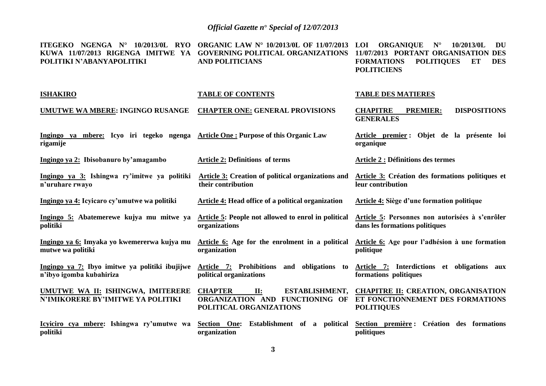**ITEGEKO NGENGA N° 10/2013/0L RYO ORGANIC LAW N° 10/2013/0L OF 11/07/2013 LOI ORGANIQUE N° 10/2013/0L DU KUWA 11/07/2013 RIGENGA IMITWE YA GOVERNING POLITICAL ORGANIZATIONS 11/07/2013 PORTANT ORGANISATION DES POLITIKI N'ABANYAPOLITIKI ISHAKIRO UMUTWE WA MBERE: INGINGO RUSANGE Ingingo ya mbere: Icyo iri tegeko ngenga rigamije Ingingo ya 2: Ibisobanuro by'amagambo Ingingo ya 3: Ishingwa ry'imitwe ya politiki n'uruhare rwayo Ingingo ya 4: Icyicaro cy'umutwe wa politiki Ingingo 5: Abatemerewe kujya mu mitwe ya politiki Ingingo ya 6: Imyaka yo kwemererwa kujya mu mutwe wa politiki Ingingo ya 7: Ibyo imitwe ya politiki ibujijwe n'ibyo igomba kubahiriza UMUTWE WA II: ISHINGWA, IMITERERE N'IMIKORERE BY'IMITWE YA POLITIKI Icyiciro cya mbere: Ishingwa ry'umutwe wa politiki AND POLITICIANS TABLE OF CONTENTS CHAPTER ONE: GENERAL PROVISIONS Article One : Purpose of this Organic Law Article 2: Definitions of terms Article 3: Creation of political organizations and their contribution Article 4: Head office of a political organization Article 5: People not allowed to enrol in political organizations Article 6: Age for the enrolment in a political organization Article 7: Prohibitions and obligations to political organizations CHAPTER II: ESTABLISHMENT, ORGANIZATION AND FUNCTIONING OF ET FONCTIONNEMENT DES FORMATIONS POLITICAL ORGANIZATIONS Section One: Establishment of a political organization FORMATIONS POLITIQUES ET DES POLITICIENS TABLE DES MATIERES CHAPITRE PREMIER: DISPOSITIONS GENERALES Article premier : Objet de la présente loi organique Article 2 : Définitions des termes Article 3: Création des formations politiques et leur contribution Article 4: Siège d'une formation politique Article 5: Personnes non autorisées à s'enrôler dans les formations politiques Article 6: Age pour l'adhésion à une formation politique Article 7: Interdictions et obligations aux formations politiques CHAPITRE II: CREATION, ORGANISATION POLITIQUES Section première : Création des formations politiques**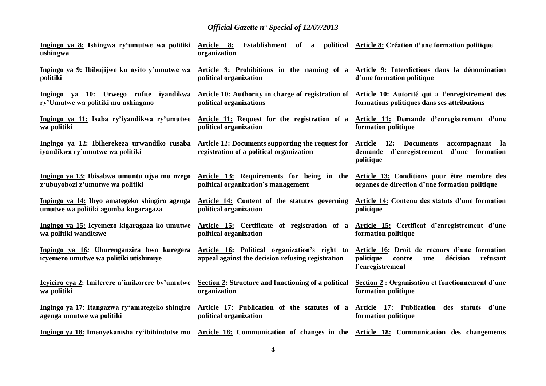| Ingingo ya 8: Ishingwa ry'umutwe wa politiki<br>ushingwa                              | <u>Article 8:</u><br>Establishment of<br>organization                                                                                                                     | a political Article 8: Création d'une formation politique                                                              |
|---------------------------------------------------------------------------------------|---------------------------------------------------------------------------------------------------------------------------------------------------------------------------|------------------------------------------------------------------------------------------------------------------------|
| politiki                                                                              | Ingingo ya 9: Ibibujijwe ku nyito y'umutwe wa Article 9: Prohibitions in the naming of a Article 9: Interdictions dans la dénomination<br>political organization          | d'une formation politique                                                                                              |
| ry'Umutwe wa politiki mu nshingano                                                    | Ingingo ya 10: Urwego rufite iyandikwa Article 10: Authority in charge of registration of<br>political organizations                                                      | Article 10: Autorité qui a l'enregistrement des<br>formations politiques dans ses attributions                         |
| wa politiki                                                                           | Ingingo ya 11: Isaba ry'iyandikwa ry'umutwe Article 11: Request for the registration of a<br>political organization                                                       | Article 11: Demande d'enregistrement d'une<br>formation politique                                                      |
| Ingingo ya 12: Ibiherekeza urwandiko rusaba<br>iyandikwa ry'umutwe wa politiki        | <b>Article 12: Documents supporting the request for</b><br>registration of a political organization                                                                       | Article 12:<br><b>Documents</b><br>accompagnant la<br>demande d'enregistrement d'une formation<br>politique            |
| z'ubuyobozi z'umutwe wa politiki                                                      | Ingingo ya 13: Ibisabwa umuntu ujya mu nzego Article 13: Requirements for being in the Article 13: Conditions pour être membre des<br>political organization's management | organes de direction d'une formation politique                                                                         |
| Ingingo ya 14: Ibyo amategeko shingiro agenga<br>umutwe wa politiki agomba kugaragaza | Article 14: Content of the statutes governing<br>political organization                                                                                                   | <b>Article 14: Contenu des statuts d'une formation</b><br>politique                                                    |
| wa politiki wanditswe                                                                 | Ingingo ya 15: Icyemezo kigaragaza ko umutwe Article 15: Certificate of registration of a Article 15: Certificat d'enregistrement d'une<br>political organization         | formation politique                                                                                                    |
| Ingingo ya 16: Uburenganzira bwo kuregera<br>icyemezo umutwe wa politiki utishimiye   | Article 16: Political organization's right to<br>appeal against the decision refusing registration                                                                        | Article 16: Droit de recours d'une formation<br>politique<br>contre<br>décision<br>refusant<br>une<br>l'enregistrement |
| Icyiciro cya 2: Imiterere n'imikorere by'umutwe<br>wa politiki                        | Section 2: Structure and functioning of a political<br>organization                                                                                                       | Section 2 : Organisation et fonctionnement d'une<br>formation politique                                                |
| Ingingo ya 17: Itangazwa ry'amategeko shingiro<br>agenga umutwe wa politiki           | Article 17: Publication of the statutes of a<br>political organization                                                                                                    | Article 17: Publication des statuts d'une<br>formation politique                                                       |
|                                                                                       | Ingingo ya 18: Imenyekanisha ry'ibihindutse mu Article 18: Communication of changes in the Article 18: Communication des changements                                      |                                                                                                                        |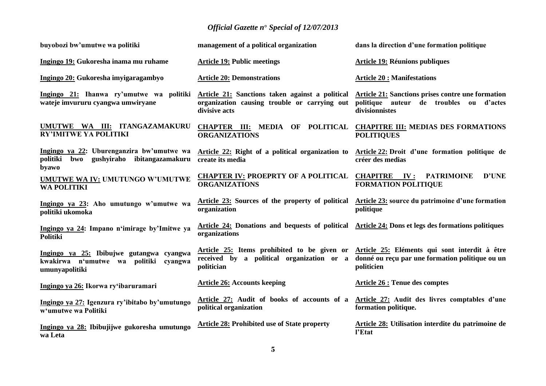| buyobozi bw'umutwe wa politiki                                                                         | management of a political organization                                                                                                                    | dans la direction d'une formation politique                                                                           |  |
|--------------------------------------------------------------------------------------------------------|-----------------------------------------------------------------------------------------------------------------------------------------------------------|-----------------------------------------------------------------------------------------------------------------------|--|
| Ingingo 19: Gukoresha inama mu ruhame                                                                  | <b>Article 19: Public meetings</b>                                                                                                                        | <b>Article 19: Réunions publiques</b>                                                                                 |  |
| Ingingo 20: Gukoresha imyigaragambyo                                                                   | <b>Article 20: Demonstrations</b>                                                                                                                         | <b>Article 20: Manifestations</b>                                                                                     |  |
| wateje imvururu cyangwa umwiryane                                                                      | Ingingo 21: Ihanwa ry'umutwe wa politiki Article 21: Sanctions taken against a political<br>organization causing trouble or carrying out<br>divisive acts | <b>Article 21: Sanctions prises contre une formation</b><br>politique auteur de troubles ou d'actes<br>divisionnistes |  |
| UMUTWE WA III: ITANGAZAMAKURU<br><b>RY'IMITWE YA POLITIKI</b>                                          | CHAPTER III: MEDIA OF POLITICAL<br><b>ORGANIZATIONS</b>                                                                                                   | <b>CHAPITRE III: MEDIAS DES FORMATIONS</b><br><b>POLITIQUES</b>                                                       |  |
| Ingingo ya 22: Uburenganzira bw'umutwe wa<br>politiki<br>gushyiraho ibitangazamakuru<br>bwo<br>byawo   | Article 22: Right of a political organization to<br>create its media                                                                                      | Article 22: Droit d'une formation politique de<br>créer des medias                                                    |  |
| <b>UMUTWE WA IV: UMUTUNGO W'UMUTWE</b><br><b>WA POLITIKI</b>                                           | <b>CHAPTER IV: PROEPRTY OF A POLITICAL</b><br><b>ORGANIZATIONS</b>                                                                                        | <b>CHAPITRE IV:</b><br><b>D'UNE</b><br><b>PATRIMOINE</b><br><b>FORMATION POLITIQUE</b>                                |  |
| Ingingo ya 23: Aho umutungo w'umutwe wa<br>politiki ukomoka                                            | <b>Article 23:</b> Sources of the property of political<br>organization                                                                                   | Article 23: source du patrimoine d'une formation<br>politique                                                         |  |
| Ingingo ya 24: Impano n'imirage by'Imitwe ya<br>Politiki                                               | <b>Article 24: Donations and bequests of political</b><br>organizations                                                                                   | Article 24: Dons et legs des formations politiques                                                                    |  |
| Ingingo ya 25: Ibibujwe gutangwa cyangwa<br>kwakirwa n'umutwe wa politiki<br>cyangwa<br>umunyapolitiki | Article 25: Items prohibited to be given or<br>received by a political organization or a<br>politician                                                    | Article 25: Eléments qui sont interdit à être<br>donné ou reçu par une formation politique ou un<br>politicien        |  |
| Ingingo ya 26: Ikorwa ry'ibaruramari                                                                   | <b>Article 26: Accounts keeping</b>                                                                                                                       | <b>Article 26 : Tenue des comptes</b>                                                                                 |  |
| Ingingo ya 27: Igenzura ry'ibitabo by'umutungo<br>w'umutwe wa Politiki                                 | Article 27: Audit of books of accounts of a<br>political organization                                                                                     | Article 27: Audit des livres comptables d'une<br>formation politique.                                                 |  |
| Ingingo ya 28: Ibibujijwe gukoresha umutungo<br>wa Leta                                                | <b>Article 28: Prohibited use of State property</b>                                                                                                       | Article 28: Utilisation interdite du patrimoine de<br>l'Etat                                                          |  |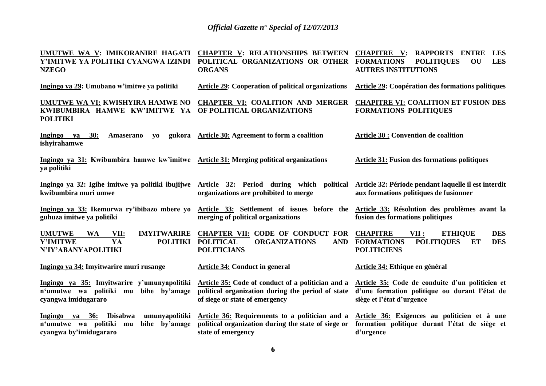| UMUTWE WA V: IMIKORANIRE HAGATI<br>Y'IMITWE YA POLITIKI CYANGWA IZINDI<br><b>NZEGO</b>                                       | <b>CHAPTER V: RELATIONSHIPS BETWEEN</b><br>POLITICAL ORGANIZATIONS OR OTHER<br><b>ORGANS</b>                                             | <b>CHAPITRE</b> V:<br><b>RAPPORTS ENTRE</b><br><b>LES</b><br><b>LES</b><br><b>FORMATIONS</b><br><b>POLITIQUES</b><br><b>OU</b><br><b>AUTRES INSTITUTIONS</b> |
|------------------------------------------------------------------------------------------------------------------------------|------------------------------------------------------------------------------------------------------------------------------------------|--------------------------------------------------------------------------------------------------------------------------------------------------------------|
| Ingingo ya 29: Umubano w'imitwe ya politiki                                                                                  | <b>Article 29: Cooperation of political organizations</b>                                                                                | <b>Article 29: Coopération des formations politiques</b>                                                                                                     |
| KWIBUMBIRA HAMWE KW'IMITWE YA<br><b>POLITIKI</b>                                                                             | UMUTWE WA VI: KWISHYIRA HAMWE NO CHAPTER VI: COALITION AND MERGER<br>OF POLITICAL ORGANIZATIONS                                          | <b>CHAPITRE VI: COALITION ET FUSION DES</b><br><b>FORMATIONS POLITIQUES</b>                                                                                  |
| 30:<br>Ingingo ya<br><b>Amaserano</b><br><b>VO</b><br>ishyirahamwe                                                           | gukora Article 30: Agreement to form a coalition                                                                                         | <b>Article 30 : Convention de coalition</b>                                                                                                                  |
| Ingingo ya 31: Kwibumbira hamwe kw'imitwe Article 31: Merging political organizations<br>ya politiki                         |                                                                                                                                          | <b>Article 31: Fusion des formations politiques</b>                                                                                                          |
| Ingingo ya 32: Igihe imitwe ya politiki ibujijwe<br>kwibumbira muri umwe                                                     | Article 32: Period during which political<br>organizations are prohibited to merge                                                       | Article 32: Période pendant laquelle il est interdit<br>aux formations politiques de fusionner                                                               |
| Ingingo ya 33: Ikemurwa ry'ibibazo mbere yo<br>guhuza imitwe ya politiki                                                     | Article 33: Settlement of issues before the<br>merging of political organizations                                                        | Article 33: Résolution des problèmes avant la<br>fusion des formations politiques                                                                            |
| <b>UMUTWE</b><br><b>IMYITWARIRE</b><br><b>WA</b><br>VII:<br>YA<br><b>Y'IMITWE</b><br><b>POLITIKI</b><br>N'IY'ABANYAPOLITIKI  | <b>CHAPTER VII: CODE OF CONDUCT FOR</b><br><b>ORGANIZATIONS</b><br><b>POLITICAL</b><br><b>AND</b><br><b>POLITICIANS</b>                  | <b>CHAPITRE</b><br>VII :<br><b>ETHIQUE</b><br><b>DES</b><br><b>FORMATIONS</b><br><b>POLITIQUES</b><br>ET<br><b>DES</b><br><b>POLITICIENS</b>                 |
| Ingingo ya 34: Imyitwarire muri rusange                                                                                      | Article 34: Conduct in general                                                                                                           | Article 34: Ethique en général                                                                                                                               |
| Ingingo ya 35: Imyitwarire y'umunyapolitiki<br>n'umutwe wa politiki mu bihe by'amage<br>cyangwa imidugararo                  | Article 35: Code of conduct of a politician and a<br>political organization during the period of state<br>of siege or state of emergency | Article 35: Code de conduite d'un politicien et<br>d'une formation politique ou durant l'état de<br>siège et l'état d'urgence                                |
| Ingingo ya 36:<br><b>Ibisabwa</b><br>umunyapolitiki<br>bihe by'amage<br>n'umutwe wa politiki<br>mu<br>cyangwa by'imidugararo | Article 36: Requirements to a politician and a<br>political organization during the state of siege or<br>state of emergency              | Article 36: Exigences au politicien et à une<br>formation politique durant l'état de siège et<br>d'urgence                                                   |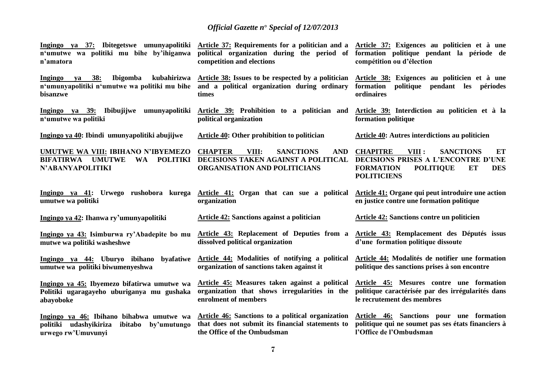| n'umutwe wa politiki mu bihe by'ihiganwa<br>n'amatora                                                                       | Ingingo ya 37: Ibitegetswe umunyapolitiki Article 37: Requirements for a politician and a Article 37: Exigences au politicien et à une<br>political organization during the period of<br>competition and elections | formation politique pendant la période de<br>compétition ou d'élection                                                                                                       |
|-----------------------------------------------------------------------------------------------------------------------------|--------------------------------------------------------------------------------------------------------------------------------------------------------------------------------------------------------------------|------------------------------------------------------------------------------------------------------------------------------------------------------------------------------|
| <b>38:</b><br><b>Ibigomba</b><br>Ingingo<br>ya<br>n'umunyapolitiki n'umutwe wa politiki mu bihe<br>bisanzwe                 | kubahirizwa Article 38: Issues to be respected by a politician<br>and a political organization during ordinary<br>times                                                                                            | Article 38: Exigences au politicien et à une<br>formation<br>politique pendant les périodes<br>ordinaires                                                                    |
| Ingingo ya 39: Ibibujijwe umunyapolitiki<br>n'umutwe wa politiki                                                            | Article 39: Prohibition to a politician and<br>political organization                                                                                                                                              | Article 39: Interdiction au politicien et à la<br>formation politique                                                                                                        |
| Ingingo ya 40: Ibindi umunyapolitiki abujijwe                                                                               | Article 40: Other prohibition to politician                                                                                                                                                                        | Article 40: Autres interdictions au politicien                                                                                                                               |
| UMUTWE WA VIII: IBIHANO N'IBYEMEZO<br><b>BIFATIRWA</b><br><b>UMUTWE</b><br><b>POLITIKI</b><br><b>WA</b><br>N'ABANYAPOLITIKI | <b>CHAPTER</b><br>VIII:<br><b>SANCTIONS</b><br><b>AND</b><br>DECISIONS TAKEN AGAINST A POLITICAL<br>ORGANISATION AND POLITICIANS                                                                                   | <b>CHAPITRE</b><br>VIII :<br><b>SANCTIONS</b><br>ET<br>DECISIONS PRISES A L'ENCONTRE D'UNE<br><b>FORMATION</b><br><b>POLITIQUE</b><br>ET<br><b>DES</b><br><b>POLITICIENS</b> |
| Ingingo ya 41: Urwego rushobora kurega<br>umutwe wa politiki                                                                | Article 41: Organ that can sue a political<br>organization                                                                                                                                                         | Article 41: Organe qui peut introduire une action<br>en justice contre une formation politique                                                                               |
| Ingingo ya 42: Ihanwa ry'umunyapolitiki                                                                                     | Article 42: Sanctions against a politician                                                                                                                                                                         | Article 42: Sanctions contre un politicien                                                                                                                                   |
| Ingingo ya 43: Isimburwa ry'Abadepite bo mu<br>mutwe wa politiki washeshwe                                                  | Article 43: Replacement of Deputies from a<br>dissolved political organization                                                                                                                                     | Article 43: Remplacement des Députés issus<br>d'une formation politique dissoute                                                                                             |
| Ingingo ya 44: Uburyo ibihano<br>byafatiwe<br>umutwe wa politiki biwumenyeshwa                                              | Article 44: Modalities of notifying a political<br>organization of sanctions taken against it                                                                                                                      | Article 44: Modalités de notifier une formation<br>politique des sanctions prises à son encontre                                                                             |
| Ingingo ya 45: Ibyemezo bifatirwa umutwe wa<br>Politiki ugaragayeho uburiganya mu gushaka<br>abayoboke                      | Article 45: Measures taken against a political<br>organization that shows irregularities in the<br>enrolment of members                                                                                            | Article 45: Mesures contre une formation<br>politique caractérisée par des irrégularités dans<br>le recrutement des membres                                                  |
| Ingingo ya 46: Ibihano bihabwa umutwe wa<br>politiki udashyikiriza<br>ibitabo by'umutungo<br>urwego rw'Umuvunyi             | Article 46: Sanctions to a political organization<br>that does not submit its financial statements to<br>the Office of the Ombudsman                                                                               | Article 46: Sanctions pour une formation<br>politique qui ne soumet pas ses états financiers à<br>l'Office de l'Ombudsman                                                    |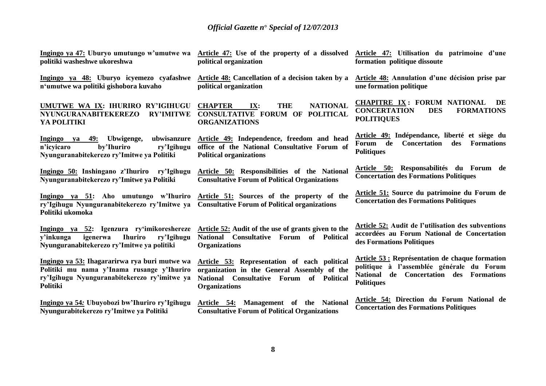**Ingingo ya 47: Uburyo umutungo w'umutwe wa politiki washeshwe ukoreshwa**

**Ingingo ya 48: Uburyo icyemezo cyafashwe Article 48: Cancellation of a decision taken by a n'umutwe wa politiki gishobora kuvaho**

**UMUTWE WA IX: IHURIRO RY'IGIHUGU NYUNGURANABITEKEREZO RY'IMITWE YA POLITIKI**

**Ingingo ya 49: Ubwigenge, ubwisanzure n'icyicaro by'Ihuriro ry'Igihugu Nyunguranabitekerezo ry'Imitwe ya Politiki** 

**Ingingo 50: Inshingano z'Ihuriro ry'Igihugu Nyunguranabitekerezo ry'Imitwe ya Politiki**

**Ingingo ya 51: Aho umutungo w'Ihuriro ry'Igihugu Nyunguranabitekerezo ry'Imitwe ya Politiki ukomoka**

**Ingingo ya 52: Igenzura ry'imikoreshereze y'inkunga igenerwa Ihuriro ry'Igihugu Nyunguranabitekerezo ry'Imitwe ya politiki**

**Ingingo ya 53: Ihagararirwa rya buri mutwe wa Politiki mu nama y'Inama rusange y'Ihuriro ry'Igihugu Nyunguranabitekerezo ry'imitwe ya Politiki**

**Ingingo ya 54***:* **Ubuyobozi bw'Ihuriro ry'Igihugu Nyungurabitekerezo ry'Imitwe ya Politiki**

**Article 47: Use of the property of a dissolved political organization**

**political organization**

**CHAPTER IX: THE NATIONAL CONSULTATIVE FORUM OF POLITICAL ORGANIZATIONS**

**Article 49: Independence, freedom and head office of the National Consultative Forum of Political organizations**

**Article 50: Responsibilities of the National Consultative Forum of Political Organizations**

**Article 51: Sources of the property of the Consultative Forum of Political organizations**

**Article 52: Audit of the use of grants given to the National Consultative Forum of Political Organizations**

**Article 53: Representation of each political organization in the General Assembly of the National Consultative Forum of Political Organizations**

**Article 54: Management of the National Consultative Forum of Political Organizations**

**Article 47: Utilisation du patrimoine d'une formation politique dissoute**

**Article 48: Annulation d'une décision prise par une formation politique**

**CHAPITRE IX : FORUM NATIONAL DE CONCERTATION DES FORMATIONS POLITIQUES**

**Article 49: Indépendance, liberté et siège du Forum de Concertation des Formations Politiques**

**Article 50: Responsabilités du Forum de Concertation des Formations Politiques**

**Article 51: Source du patrimoine du Forum de Concertation des Formations Politiques**

**Article 52: Audit de l'utilisation des subventions accordées au Forum National de Concertation des Formations Politiques**

**Article 53 : Représentation de chaque formation politique à l'assemblée générale du Forum National de Concertation des Formations Politiques**

**Article 54: Direction du Forum National de Concertation des Formations Politiques**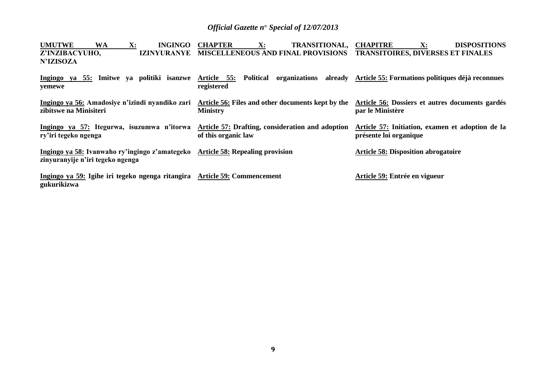| <b>UMUTWE</b><br>X:<br>WA<br><b>INGINGO</b>                                                                        | <b>CHAPTER</b><br>$\mathbf{X}$ :<br>TRANSITIONAL, CHAPITRE              | <b>DISPOSITIONS</b><br>$\mathbf{X}$ :                                      |
|--------------------------------------------------------------------------------------------------------------------|-------------------------------------------------------------------------|----------------------------------------------------------------------------|
| Z'INZIBACYUHO,<br><b>IZINYURANYE</b><br><b>N'IZISOZA</b>                                                           | MISCELLENEOUS AND FINAL PROVISIONS TRANSITOIRES, DIVERSES ET FINALES    |                                                                            |
| Ingingo ya 55: Imitwe ya politiki isanzwe<br>yemewe                                                                | Article 55:<br>Political<br>registered                                  | organizations already Article 55: Formations politiques déjà reconnues     |
| Ingingo ya 56: Amadosiye n'izindi nyandiko zari<br>zibitswe na Minisiteri                                          | Article 56: Files and other documents kept by the<br><b>Ministry</b>    | Article 56: Dossiers et autres documents gardés<br>par le Ministère        |
| Ingingo ya 57: Itegurwa, isuzumwa n'itorwa<br>ry'iri tegeko ngenga                                                 | Article 57: Drafting, consideration and adoption<br>of this organic law | Article 57: Initiation, examen et adoption de la<br>présente loi organique |
| Ingingo ya 58: Ivanwaho ry'ingingo z'amategeko Article 58: Repealing provision<br>zinyuranyije n'iri tegeko ngenga |                                                                         | <b>Article 58: Disposition abrogatoire</b>                                 |
| Ingingo ya 59: Igihe iri tegeko ngenga ritangira Article 59: Commencement<br>gukurikizwa                           |                                                                         | Article 59: Entrée en vigueur                                              |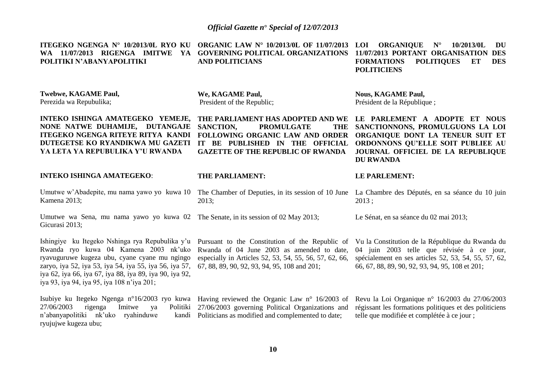**ITEGEKO NGENGA N° 10/2013/0L RYO KU WA 11/07/2013 RIGENGA IMITWE YA GOVERNING POLITICAL ORGANIZATIONS 11/07/2013 PORTANT ORGANISATION DES POLITIKI N'ABANYAPOLITIKI**

**ORGANIC LAW N° 10/2013/0L OF 11/07/2013 AND POLITICIANS**

**GAZETTE OF THE REPUBLIC OF RWANDA**

**LOI ORGANIQUE N° 10/2013/0L DU FORMATIONS POLITIQUES ET DES POLITICIENS**

**Twebwe, KAGAME Paul,** Perezida wa Repubulika;

**We, KAGAME Paul,** President of the Republic;

**THE PARLIAMENT:**

2013;

**SANCTION. PROMULGATE** 

**INTEKO ISHINGA AMATEGEKO YEMEJE, NONE NATWE DUHAMIJE, DUTANGAJE ITEGEKO NGENGA RITEYE RITYA KANDI DUTEGETSE KO RYANDIKWA MU GAZETI YA LETA YA REPUBULIKA Y'U RWANDA**

**INTEKO ISHINGA AMATEGEKO**:

Umutwe w'Abadepite, mu nama yawo yo kuwa 10 Kamena 2013;

Umutwe wa Sena, mu nama yawo yo kuwa 02 The Senate, in its session of 02 May 2013; Gicurasi 2013;

Ishingiye ku Itegeko Nshinga rya Repubulika y'u Rwanda ryo kuwa 04 Kamena 2003 nk'uko ryavuguruwe kugeza ubu, cyane cyane mu ngingo zaryo, iya 52, iya 53, iya 54, iya 55, iya 56, iya 57, iya 62, iya 66, iya 67, iya 88, iya 89, iya 90, iya 92, iya 93, iya 94, iya 95, iya 108 n'iya 201;

Pursuant to the Constitution of the Republic of Rwanda of 04 June 2003 as amended to date, especially in Articles 52, 53, 54, 55, 56, 57, 62, 66, 67, 88, 89, 90, 92, 93, 94, 95, 108 and 201;

**Nous, KAGAME Paul,** Président de la République ;

**THE PARLIAMENT HAS ADOPTED AND WE LE PARLEMENT A ADOPTE ET NOUS FOLLOWING ORGANIC LAW AND ORDER ORGANIQUE DONT LA TENEUR SUIT ET IT BE PUBLISHED IN THE OFFICIAL ORDONNONS QU'ELLE SOIT PUBLIEE AU**  THE SANCTIONNONS, PROMULGUONS LA LOI **JOURNAL OFFICIEL DE LA REPUBLIQUE DU RWANDA**

**LE PARLEMENT:**

The Chamber of Deputies, in its session of 10 June La Chambre des Députés, en sa séance du 10 juin 2013 ;

Le Sénat, en sa séance du 02 mai 2013;

Vu la Constitution de la République du Rwanda du 04 juin 2003 telle que révisée à ce jour, spécialement en ses articles 52, 53, 54, 55, 57, 62, 66, 67, 88, 89, 90, 92, 93, 94, 95, 108 et 201;

Isubiye ku Itegeko Ngenga n°16/2003 ryo kuwa Having reviewed the Organic Law n° 16/2003 of  $27/06/2003$  rigenga Imitwe ya n'abanyapolitiki nk'uko ryahinduwe ryujujwe kugeza ubu; 27/06/2003 governing Political Organizations and kandi Politicians as modified and complemented to date; Revu la Loi Organique n° 16/2003 du 27/06/2003 régissant les formations politiques et des politiciens telle que modifiée et complétée à ce jour ;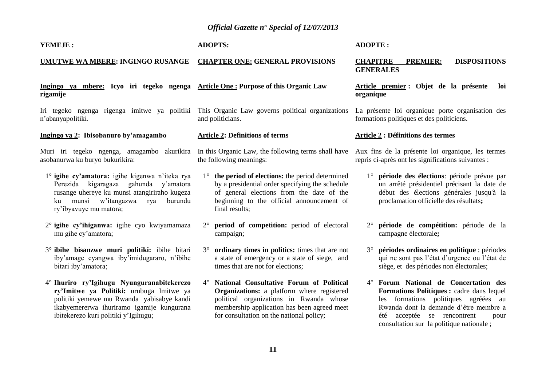#### **YEMEJE :**

### **ADOPTS:**

#### **UMUTWE WA MBERE: INGINGO RUSANGE CHAPTER ONE: GENERAL PROVISIONS**

### **Ingingo ya mbere: Icyo iri tegeko ngenga Article One : Purpose of this Organic Law**

**rigamije**

Iri tegeko ngenga rigenga imitwe ya politiki This Organic Law governs political organizations n'abanyapolitiki.

### **Ingingo ya 2: Ibisobanuro by'amagambo**

asobanurwa ku buryo bukurikira:

- 1° **igihe cy'amatora:** igihe kigenwa n'iteka rya Perezida kigaragaza gahunda y'amatora rusange uhereye ku munsi atangiriraho kugeza ku munsi w'itangazwa rya burundu ry'ibyavuye mu matora;
- 2° **igihe cy'ihiganwa:** igihe cyo kwiyamamaza mu gihe cy'amatora;
- 3° **ibihe bisanzwe muri politiki:** ibihe bitari iby'amage cyangwa iby'imidugararo, n'ibihe bitari iby'amatora;
- 4° **Ihuriro ry'Igihugu Nyunguranabitekerezo ry'Imitwe ya Politiki:** urubuga Imitwe ya politiki yemewe mu Rwanda yabisabye kandi ikabyemererwa ihuriramo igamije kungurana ibitekerezo kuri politiki y'Igihugu;

# and politicians.

### **Article 2: Definitions of terms**

Muri iri tegeko ngenga, amagambo akurikira In this Organic Law, the following terms shall have the following meanings:

- 1° **the period of elections:** the period determined by a presidential order specifying the schedule of general elections from the date of the beginning to the official announcement of final results;
- 2° **period of competition:** period of electoral campaign;
- 3° **ordinary times in politics:** times that are not a state of emergency or a state of siege, and times that are not for elections;
- 4° **National Consultative Forum of Political Organizations:** a platform where registered political organizations in Rwanda whose membership application has been agreed meet for consultation on the national policy;

### **ADOPTE :**

### **CHAPITRE PREMIER: DISPOSITIONS GENERALES**

**Article premier : Objet de la présente loi organique**

La présente loi organique porte organisation des formations politiques et des politiciens.

### **Article 2 : Définitions des termes**

Aux fins de la présente loi organique, les termes repris ci-après ont les significations suivantes :

- 1° **période des élections**: période prévue par un arrêté présidentiel précisant la date de début des élections générales jusqu'à la proclamation officielle des résultats**;**
- 2° **période de compétition:** période de la campagne électoral**e;**
- 3° **périodes ordinaires en politique** : périodes qui ne sont pas l'état d'urgence ou l'état de siège, et des périodes non électorales;
- 4° **Forum National de Concertation des Formations Politiques :** cadre dans lequel les formations politiques agréées au Rwanda dont la demande d'être membre a été acceptée se rencontrent pour consultation sur la politique nationale ;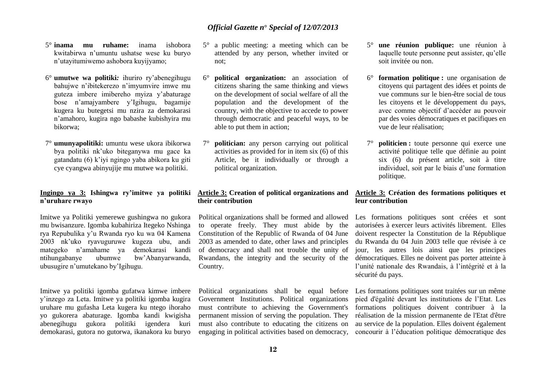- 5° **inama mu ruhame:** inama ishobora kwitabirwa n'umuntu ushatse wese ku buryo n'utayitumiwemo ashobora kuyijyamo;
- 6° **umutwe wa politiki***:* ihuriro ry'abenegihugu bahujwe n'ibitekerezo n'imyumvire imwe mu guteza imbere imibereho myiza y'abaturage bose n'amajyambere y'Igihugu, bagamije kugera ku butegetsi mu nzira za demokarasi n'amahoro, kugira ngo babashe kubishyira mu bikorwa;
- 7° **umunyapolitiki:** umuntu wese ukora ibikorwa bya politiki nk'uko biteganywa mu gace ka gatandatu (6) k'iyi ngingo yaba abikora ku giti cye cyangwa abinyujije mu mutwe wa politiki.

### **Ingingo ya 3: Ishingwa ry'imitwe ya politiki n'uruhare rwayo**

Imitwe ya Politiki yemerewe gushingwa no gukora mu bwisanzure. Igomba kubahiriza Itegeko Nshinga rya Repubulika y'u Rwanda ryo ku wa 04 Kamena 2003 nk'uko ryavuguruwe kugeza ubu, andi mategeko n'amahame ya demokarasi kandi ntihungabanye ubumwe bw'Abanyarwanda, ubusugire n'umutekano by'Igihugu.

Imitwe ya politiki igomba gufatwa kimwe imbere y'inzego za Leta. Imitwe ya politiki igomba kugira uruhare mu gufasha Leta kugera ku ntego ihoraho yo gukorera abaturage. Igomba kandi kwigisha abenegihugu gukora politiki igendera kuri demokarasi, gutora no gutorwa, ikanakora ku buryo

- 5° a public meeting: a meeting which can be attended by any person, whether invited or not;
- 6° **political organization:** an association of citizens sharing the same thinking and views on the development of social welfare of all the population and the development of the country, with the objective to accede to power through democratic and peaceful ways, to be able to put them in action;
- 7° **politician:** any person carrying out political activities as provided for in item six (6) of this Article, be it individually or through a political organization.

### **Article 3: Creation of political organizations and their contribution**

Political organizations shall be formed and allowed to operate freely. They must abide by the Constitution of the Republic of Rwanda of 04 June 2003 as amended to date, other laws and principles of democracy and shall not trouble the unity of Rwandans, the integrity and the security of the Country.

Political organizations shall be equal before Government Institutions. Political organizations must contribute to achieving the Government's permanent mission of serving the population. They must also contribute to educating the citizens on engaging in political activities based on democracy,

- 5° **une réunion publique:** une réunion à laquelle toute personne peut assister, qu'elle soit invitée ou non.
- 6° **formation politique :** une organisation de citoyens qui partagent des idées et points de vue communs sur le bien-être social de tous les citoyens et le développement du pays, avec comme objectif d'accéder au pouvoir par des voies démocratiques et pacifiques en vue de leur réalisation;
- 7° **politicien :** toute personne qui exerce une activité politique telle que définie au point six (6) du présent article, soit à titre individuel, soit par le biais d'une formation politique.

### **Article 3: Création des formations politiques et leur contribution**

Les formations politiques sont créées et sont autorisées à exercer leurs activités librement. Elles doivent respecter la Constitution de la République du Rwanda du 04 Juin 2003 telle que révisée à ce jour, les autres lois ainsi que les principes démocratiques. Elles ne doivent pas porter atteinte à l'unité nationale des Rwandais, à l'intégrité et à la sécurité du pays.

Les formations politiques sont traitées sur un même pied d'égalité devant les institutions de l'Etat. Les formations politiques doivent contribuer à la réalisation de la mission permanente de l'Etat d'être au service de la population. Elles doivent également concourir à l'éducation politique démocratique des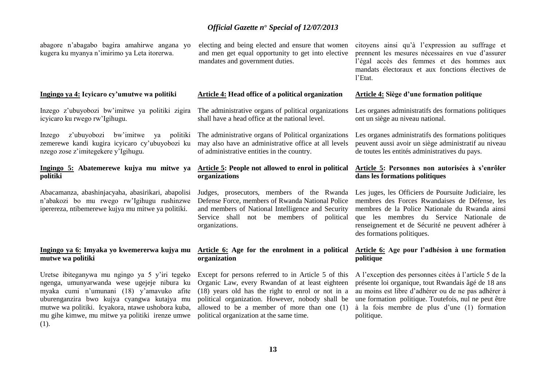abagore n'abagabo bagira amahirwe angana yo kugera ku myanya n'imirimo ya Leta itorerwa.

#### **Ingingo ya 4: Icyicaro cy'umutwe wa politiki**

Inzego z'ubuyobozi bw'imitwe ya politiki zigira icyicaro ku rwego rw'Igihugu.

Inzego z'ubuyobozi bw'imitwe ya politiki zemerewe kandi kugira icyicaro cy'ubuyobozi ku nzego zose z'imitegekere y'Igihugu.

### **Ingingo 5: Abatemerewe kujya mu mitwe ya politiki**

Abacamanza, abashinjacyaha, abasirikari, abapolisi n'abakozi bo mu rwego rw'Igihugu rushinzwe iperereza, ntibemerewe kujya mu mitwe ya politiki.

### **Ingingo ya 6: Imyaka yo kwemererwa kujya mu mutwe wa politiki**

Uretse ibiteganywa mu ngingo ya 5 y'iri tegeko ngenga, umunyarwanda wese ugejeje nibura ku myaka cumi n'umunani (18) y'amavuko afite uburenganzira bwo kujya cyangwa kutajya mu mutwe wa politiki. Icyakora, ntawe ushobora kuba, mu gihe kimwe, mu mitwe ya politiki irenze umwe (1).

electing and being elected and ensure that women and men get equal opportunity to get into elective mandates and government duties.

### **Article 4: Head office of a political organization**

The administrative organs of political organizations shall have a head office at the national level.

The administrative organs of Political organizations may also have an administrative office at all levels of administrative entities in the country.

### **Article 5: People not allowed to enrol in political organizations**

Judges, prosecutors, members of the Rwanda Defense Force, members of Rwanda National Police and members of National Intelligence and Security Service shall not be members of political organizations.

### **Article 6: Age for the enrolment in a political organization**

Except for persons referred to in Article 5 of this Organic Law, every Rwandan of at least eighteen (18) years old has the right to enrol or not in a political organization. However, nobody shall be allowed to be a member of more than one (1) political organization at the same time.

citoyens ainsi qu'à l'expression au suffrage et prennent les mesures nécessaires en vue d'assurer l'égal accès des femmes et des hommes aux mandats électoraux et aux fonctions électives de l'Etat.

### **Article 4: Siège d'une formation politique**

Les organes administratifs des formations politiques ont un siège au niveau national.

Les organes administratifs des formations politiques peuvent aussi avoir un siège administratif au niveau de toutes les entités administratives du pays.

### **Article 5: Personnes non autorisées à s'enrôler dans les formations politiques**

Les juges, les Officiers de Poursuite Judiciaire, les membres des Forces Rwandaises de Défense, les membres de la Police Nationale du Rwanda ainsi que les membres du Service Nationale de renseignement et de Sécurité ne peuvent adhérer à des formations politiques.

### **Article 6: Age pour l'adhésion à une formation politique**

A l'exception des personnes citées à l'article 5 de la présente loi organique, tout Rwandais âgé de 18 ans au moins est libre d'adhérer ou de ne pas adhérer à une formation politique. Toutefois, nul ne peut être à la fois membre de plus d'une (1) formation politique.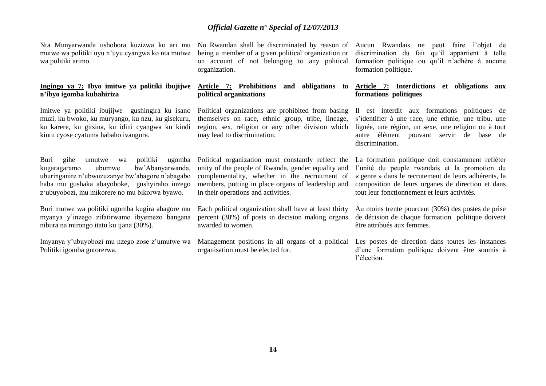Nta Munyarwanda ushobora kuzizwa ko ari mu mutwe wa politiki uyu n'uyu cyangwa ko nta mutwe wa politiki arimo.

### **Ingingo ya 7: Ibyo imitwe ya politiki ibujijwe n'ibyo igomba kubahiriza**

Imitwe ya politiki ibujijwe gushingira ku isano muzi, ku bwoko, ku muryango, ku nzu, ku gisekuru, ku karere, ku gitsina, ku idini cyangwa ku kindi kintu cyose cyatuma habaho ivangura.

Buri gihe umutwe wa politiki ugomba kugaragaramo ubumwe bw'Abanyarwanda, uburinganire n'ubwuzuzanye bw'abagore n'abagabo haba mu gushaka abayoboke, gushyiraho inzego z'ubuyobozi, mu mikorere no mu bikorwa byawo.

Buri mutwe wa politiki ugomba kugira abagore mu myanya y'inzego zifatirwamo ibyemezo bangana nibura na mirongo itatu ku ijana (30%).

Imyanya y'ubuyobozi mu nzego zose z'umutwe wa Politiki igomba gutorerwa.

No Rwandan shall be discriminated by reason of being a member of a given political organization or on account of not belonging to any political organization.

### **Article 7: Prohibitions and obligations to political organizations**

Political organizations are prohibited from basing themselves on race, ethnic group, tribe, lineage, region, sex, religion or any other division which may lead to discrimination.

Political organization must constantly reflect the unity of the people of Rwanda, gender equality and complementality, whether in the recruitment of members, putting in place organs of leadership and in their operations and activities.

Each political organization shall have at least thirty percent (30%) of posts in decision making organs awarded to women.

Management positions in all organs of a political organisation must be elected for.

Aucun Rwandais ne peut faire l'objet de discrimination du fait qu'il appartient à telle formation politique ou qu'il n'adhère à aucune formation politique.

### **Article 7: Interdictions et obligations aux formations politiques**

Il est interdit aux formations politiques de s'identifier à une race, une ethnie, une tribu, une lignée, une région, un sexe, une religion ou à tout autre élément pouvant servir de base de discrimination.

La formation politique doit constamment refléter l'unité du peuple rwandais et la promotion du « genre » dans le recrutement de leurs adhérents, la composition de leurs organes de direction et dans tout leur fonctionnement et leurs activités.

Au moins trente pourcent (30%) des postes de prise de décision de chaque formation politique doivent être attribués aux femmes.

Les postes de direction dans toutes les instances d'une formation politique doivent être soumis à l'élection.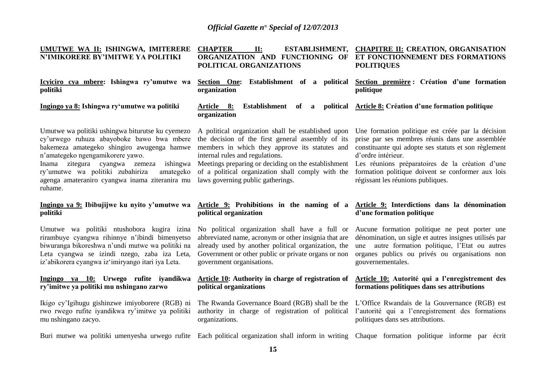| UMUTWE WA II: ISHINGWA, IMITERERE<br>N'IMIKORERE BY'IMITWE YA POLITIKI                                                                                                                                                                                                                                                                  | <b>CHAPTER</b><br>II:<br><b>ESTABLISHMENT,</b><br>ORGANIZATION AND FUNCTIONING OF<br>POLITICAL ORGANIZATIONS                                                                                                                                                                                                                                  | <b>CHAPITRE II: CREATION, ORGANISATION</b><br>ET FONCTIONNEMENT DES FORMATIONS<br><b>POLITIQUES</b>                                                                                                                                                                                                                             |
|-----------------------------------------------------------------------------------------------------------------------------------------------------------------------------------------------------------------------------------------------------------------------------------------------------------------------------------------|-----------------------------------------------------------------------------------------------------------------------------------------------------------------------------------------------------------------------------------------------------------------------------------------------------------------------------------------------|---------------------------------------------------------------------------------------------------------------------------------------------------------------------------------------------------------------------------------------------------------------------------------------------------------------------------------|
| Icyiciro cya mbere: Ishingwa ry'umutwe wa<br>politiki                                                                                                                                                                                                                                                                                   | Section One: Establishment of a political<br>organization                                                                                                                                                                                                                                                                                     | Section première : Création d'une formation<br>politique                                                                                                                                                                                                                                                                        |
| Ingingo ya 8: Ishingwa ry'umutwe wa politiki                                                                                                                                                                                                                                                                                            | Establishment<br>political<br><u>Article 8:</u><br>of<br><sub>a</sub><br>organization                                                                                                                                                                                                                                                         | <b>Article 8:</b> Création d'une formation politique                                                                                                                                                                                                                                                                            |
| Umutwe wa politiki ushingwa biturutse ku cyemezo<br>cy'urwego ruhuza abayoboke bawo bwa mbere<br>bakemeza amategeko shingiro awugenga hamwe<br>n'amategeko ngengamikorere yawo.<br>Inama zitegura cyangwa zemeza ishingwa<br>ry'umutwe wa politiki zubahiriza<br>amategeko<br>agenga amateraniro cyangwa inama ziteranira mu<br>ruhame. | A political organization shall be established upon<br>the decision of the first general assembly of its<br>members in which they approve its statutes and<br>internal rules and regulations.<br>Meetings preparing or deciding on the establishment<br>of a political organization shall comply with the<br>laws governing public gatherings. | Une formation politique est créée par la décision<br>prise par ses membres réunis dans une assemblée<br>constituante qui adopte ses statuts et son règlement<br>d'ordre intérieur.<br>Les réunions préparatoires de la création d'une<br>formation politique doivent se conformer aux lois<br>régissant les réunions publiques. |
|                                                                                                                                                                                                                                                                                                                                         |                                                                                                                                                                                                                                                                                                                                               |                                                                                                                                                                                                                                                                                                                                 |
| Ingingo ya 9: Ibibujijwe ku nyito y'umutwe wa<br>politiki                                                                                                                                                                                                                                                                               | Article 9: Prohibitions in the naming of a Article 9: Interdictions dans la dénomination<br>political organization                                                                                                                                                                                                                            | d'une formation politique                                                                                                                                                                                                                                                                                                       |
| Umutwe wa politiki ntushobora kugira izina<br>rirambuye cyangwa rihinnye n'ibindi bimenyetso<br>biwuranga bikoreshwa n'undi mutwe wa politiki na<br>Leta cyangwa se izindi nzego, zaba iza Leta,<br>iz'abikorera cyangwa iz'imiryango itari iya Leta.                                                                                   | No political organization shall have a full or<br>abbreviated name, acronym or other insignia that are<br>already used by another political organization, the<br>Government or other public or private organs or non<br>government organisations.                                                                                             | Aucune formation politique ne peut porter une<br>dénomination, un sigle et autres insignes utilisés par<br>autre formation politique, l'Etat ou autres<br>une<br>organes publics ou privés ou organisations non<br>gouvernementales.                                                                                            |
| Ingingo ya 10: Urwego rufite iyandikwa<br>ry'imitwe ya politiki mu nshingano zarwo                                                                                                                                                                                                                                                      | Article 10: Authority in charge of registration of<br>political organizations                                                                                                                                                                                                                                                                 | Article 10: Autorité qui a l'enregistrement des<br>formations politiques dans ses attributions                                                                                                                                                                                                                                  |
| Ikigo cy'Igihugu gishinzwe imiyoborere (RGB) ni<br>rwo rwego rufite iyandikwa ry'imitwe ya politiki<br>mu nshingano zacyo.                                                                                                                                                                                                              | The Rwanda Governance Board (RGB) shall be the<br>authority in charge of registration of political<br>organizations.                                                                                                                                                                                                                          | L'Office Rwandais de la Gouvernance (RGB) est<br>l'autorité qui a l'enregistrement des formations<br>politiques dans ses attributions.                                                                                                                                                                                          |
| Buri mutwe wa politiki umenyesha urwego rufite Each political organization shall inform in writing Chaque formation politique informe par écrit                                                                                                                                                                                         |                                                                                                                                                                                                                                                                                                                                               |                                                                                                                                                                                                                                                                                                                                 |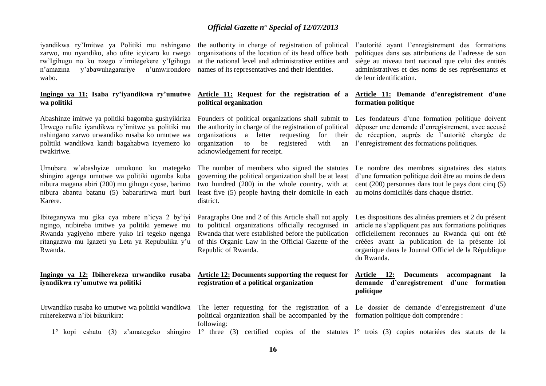iyandikwa ry'Imitwe ya Politiki mu nshingano zarwo, mu nyandiko, aho ufite icyicaro ku rwego rw'Igihugu no ku nzego z'imitegekere y'Igihugu n'amazina y'abawuhagarariye n'umwirondoro wabo.

### **Ingingo ya 11: Isaba ry'iyandikwa ry'umutwe wa politiki**

Abashinze imitwe ya politiki bagomba gushyikiriza Urwego rufite iyandikwa ry'imitwe ya politiki mu nshingano zarwo urwandiko rusaba ko umutwe wa politiki wandikwa kandi bagahabwa icyemezo ko rwakiriwe.

Umubare w'abashyize umukono ku mategeko shingiro agenga umutwe wa politiki ugomba kuba nibura magana abiri (200) mu gihugu cyose, barimo nibura abantu batanu (5) babarurirwa muri buri Karere.

Ibiteganywa mu gika cya mbere n'icya 2 by'iyi ngingo, ntibireba imitwe ya politiki yemewe mu Rwanda yagiyeho mbere yuko iri tegeko ngenga ritangazwa mu Igazeti ya Leta ya Repubulika y'u Rwanda.

### **Ingingo ya 12: Ibiherekeza urwandiko rusaba iyandikwa ry'umutwe wa politiki**

ruherekezwa n'ibi bikurikira:

the authority in charge of registration of political organizations of the location of its head office both at the national level and administrative entities and names of its representatives and their identities.

### **Article 11: Request for the registration of a political organization**

Founders of political organizations shall submit to the authority in charge of the registration of political organizations a letter requesting for their organization to be registered with acknowledgement for receipt.

The number of members who signed the statutes governing the political organization shall be at least two hundred (200) in the whole country, with at least five (5) people having their domicile in each district.

Paragraphs One and 2 of this Article shall not apply to political organizations officially recognised in Rwanda that were established before the publication of this Organic Law in the Official Gazette of the Republic of Rwanda.

### **Article 12: Documents supporting the request for registration of a political organization**

political organization shall be accompanied by the formation politique doit comprendre : following:

1° kopi eshatu (3) z'amategeko shingiro 1° three (3) certified copies of the statutes 1° trois (3) copies notariées des statuts de la

l'autorité ayant l'enregistrement des formations politiques dans ses attributions de l'adresse de son siège au niveau tant national que celui des entités administratives et des noms de ses représentants et de leur identification.

### **Article 11: Demande d'enregistrement d'une formation politique**

Les fondateurs d'une formation politique doivent déposer une demande d'enregistrement, avec accusé de réception, auprès de l'autorité chargée de l'enregistrement des formations politiques.

Le nombre des membres signataires des statuts d'une formation politique doit être au moins de deux cent (200) personnes dans tout le pays dont cinq (5) au moins domiciliés dans chaque district.

Les dispositions des alinéas premiers et 2 du présent article ne s'appliquent pas aux formations politiques officiellement reconnues au Rwanda qui ont été créées avant la publication de la présente loi organique dans le Journal Officiel de la République du Rwanda.

### **Article 12: Documents accompagnant la demande d'enregistrement d'une formation politique**

Urwandiko rusaba ko umutwe wa politiki wandikwa The letter requesting for the registration of a Le dossier de demande d'enregistrement d'une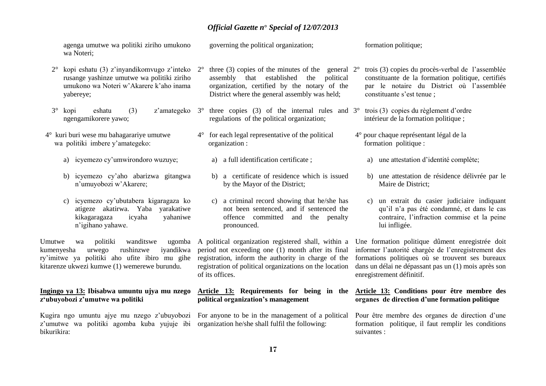agenga umutwe wa politiki ziriho umukono wa Noteri; governing the political organization; formation politique;

- 2° kopi eshatu (3) z'inyandikomvugo z'inteko rusange yashinze umutwe wa politiki ziriho umukono wa Noteri w'Akarere k'aho inama yabereye;
- 3° kopi eshatu (3) z'amategeko ngengamikorere yawo;
- 4° kuri buri wese mu bahagarariye umutwe wa politiki imbere y'amategeko:
	- a) icyemezo cy'umwirondoro wuzuye;
	- b) icyemezo cy'aho abarizwa gitangwa n'umuyobozi w'Akarere;
	- c) icyemezo cy'ubutabera kigaragaza ko atigeze akatirwa. Yaba yarakatiwe kikagaragaza icyaha yahaniwe n'igihano yahawe.

Umutwe wa politiki wanditswe ugomba kumenyesha urwego rushinzwe iyandikwa ry'imitwe ya politiki aho ufite ibiro mu gihe kitarenze ukwezi kumwe (1) wemerewe burundu.

### **Ingingo ya 13: Ibisabwa umuntu ujya mu nzego z'ubuyobozi z'umutwe wa politiki**

z'umutwe wa politiki agomba kuba yujuje ibi organization he/she shall fulfil the following: bikurikira:

- three (3) copies of the minutes of the general  $2^{\circ}$ assembly that established the political organization, certified by the notary of the District where the general assembly was held;
- $3^\circ$  three copies (3) of the internal rules and  $3^\circ$  trois (3) copies du règlement d'ordre regulations of the political organization;
- 4° for each legal representative of the political organization :
	- a) a full identification certificate ;
	- b) a certificate of residence which is issued by the Mayor of the District;
	- c) a criminal record showing that he/she has not been sentenced, and if sentenced the offence committed and the penalty pronounced.

A political organization registered shall, within a period not exceeding one (1) month after its final registration, inform the authority in charge of the registration of political organizations on the location of its offices.

### **Article 13: Requirements for being in the political organization's management**

Kugira ngo umuntu ajye mu nzego z'ubuyobozi For anyone to be in the management of a political

- 2° trois (3) copies du procès-verbal de l'assemblée constituante de la formation politique, certifiés par le notaire du District où l'assemblée constituante s'est tenue ;
- intérieur de la formation politique ;
	- 4° pour chaque représentant légal de la formation politique :
		- a) une attestation d'identité complète;
		- b) une attestation de résidence délivrée par le Maire de District;
		- c) un extrait du casier judiciaire indiquant qu'il n'a pas été condamné, et dans le cas contraire, l'infraction commise et la peine lui infligée.

Une formation politique dûment enregistrée doit informer l'autorité chargée de l'enregistrement des formations politiques où se trouvent ses bureaux dans un délai ne dépassant pas un (1) mois après son enregistrement définitif.

### **Article 13: Conditions pour être membre des organes de direction d'une formation politique**

Pour être membre des organes de direction d'une formation politique, il faut remplir les conditions suivantes :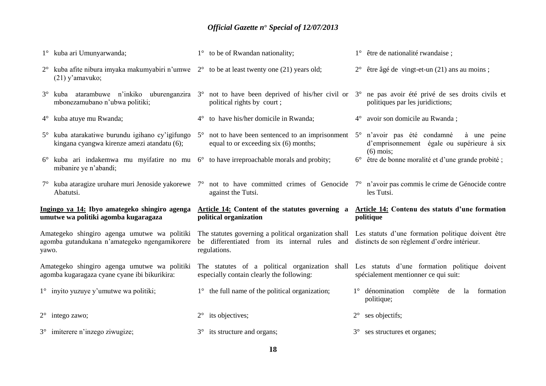|       | 1° kuba ari Umunyarwanda;                                                                                                          | 1° to be of Rwandan nationality;                                                                                                                                           | $1^{\circ}$ être de nationalité rwandaise;                                |
|-------|------------------------------------------------------------------------------------------------------------------------------------|----------------------------------------------------------------------------------------------------------------------------------------------------------------------------|---------------------------------------------------------------------------|
|       | $2^{\circ}$ kuba afite nibura imyaka makumyabiri n'umwe $2^{\circ}$ to be at least twenty one (21) years old;<br>$(21)$ y'amavuko; |                                                                                                                                                                            | $2^{\circ}$ être âgé de vingt-et-un (21) ans au moins;                    |
|       | mbonezamubano n'ubwa politiki;                                                                                                     | 3° kuba atarambuwe n'inkiko uburenganzira 3° not to have been deprived of his/her civil or 3° ne pas avoir été privé de ses droits civils et<br>political rights by court; | politiques par les juridictions;                                          |
|       | 4° kuba atuye mu Rwanda;                                                                                                           | $4^{\circ}$ to have his/her domicile in Rwanda;                                                                                                                            | avoir son domicile au Rwanda;<br>$4^{\circ}$                              |
|       | kingana cyangwa kirenze amezi atandatu (6);                                                                                        | 5° kuba atarakatiwe burundu igihano cy'igifungo 5° not to have been sentenced to an imprisonment 5° n'avoir pas été condamné<br>equal to or exceeding six (6) months;      | à une peine<br>d'emprisonnement égale ou supérieure à six<br>$(6)$ mois;  |
|       | $6^{\circ}$ kuba ari indakemwa mu myifatire no mu $6^{\circ}$ to have irreproachable morals and probity;<br>mibanire ye n'abandi;  |                                                                                                                                                                            | 6° être de bonne moralité et d'une grande probité;                        |
|       |                                                                                                                                    | $7^{\circ}$ kuba ataragize uruhare muri Jenoside yakorewe $7^{\circ}$ not to have committed crimes of Genocide $7^{\circ}$ n'avoir pas commis le crime de Génocide contre  |                                                                           |
|       | Abatutsi.                                                                                                                          | against the Tutsi.                                                                                                                                                         | les Tutsi.                                                                |
|       | Ingingo ya 14: Ibyo amategeko shingiro agenga<br>umutwe wa politiki agomba kugaragaza                                              | Article 14: Content of the statutes governing a Article 14: Contenu des statuts d'une formation<br>political organization                                                  | politique                                                                 |
| yawo. | Amategeko shingiro agenga umutwe wa politiki<br>agomba gutandukana n'amategeko ngengamikorere                                      | The statutes governing a political organization shall Les statuts d'une formation politique doivent être<br>be differentiated from its internal rules and<br>regulations.  | distincts de son règlement d'ordre intérieur.                             |
|       | Amategeko shingiro agenga umutwe wa politiki<br>agomba kugaragaza cyane cyane ibi bikurikira:                                      | The statutes of a political organization shall Les statuts d'une formation politique doivent<br>especially contain clearly the following:                                  | spécialement mentionner ce qui suit:                                      |
|       | $1^\circ$ invito yuzuye y'umutwe wa politiki;                                                                                      | $1^{\circ}$ the full name of the political organization;                                                                                                                   | $1^\circ$ dénomination<br>complète<br>de<br>formation<br>la<br>politique; |
|       | $2^{\circ}$ intego zawo;                                                                                                           | its objectives;<br>$2^{\circ}$                                                                                                                                             | $2^{\circ}$ ses objectifs;                                                |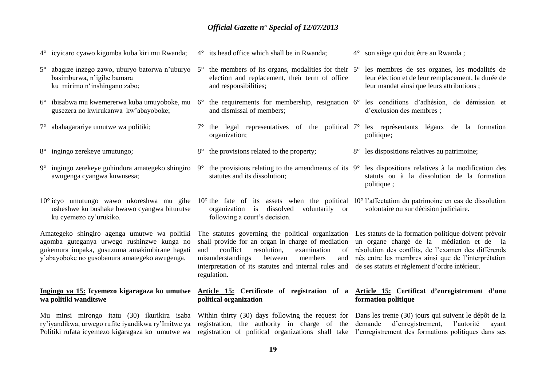|             | 4° icyicaro cyawo kigomba kuba kiri mu Rwanda;                                                                                                                                                                                                                                                                                                                       |             | $4^{\circ}$ its head office which shall be in Rwanda;                                                                                                                                                                                                                                                                                  |             | 4° son siège qui doit être au Rwanda;                                                                                                                                                                     |
|-------------|----------------------------------------------------------------------------------------------------------------------------------------------------------------------------------------------------------------------------------------------------------------------------------------------------------------------------------------------------------------------|-------------|----------------------------------------------------------------------------------------------------------------------------------------------------------------------------------------------------------------------------------------------------------------------------------------------------------------------------------------|-------------|-----------------------------------------------------------------------------------------------------------------------------------------------------------------------------------------------------------|
| $5^\circ$   | abagize inzego zawo, uburyo batorwa n'uburyo<br>basimburwa, n'igihe bamara<br>ku mirimo n'inshingano zabo;                                                                                                                                                                                                                                                           | $5^{\circ}$ | the members of its organs, modalities for their 5°<br>election and replacement, their term of office<br>and responsibilities;                                                                                                                                                                                                          |             | les membres de ses organes, les modalités de<br>leur élection et de leur remplacement, la durée de<br>leur mandat ainsi que leurs attributions;                                                           |
| $6^{\circ}$ | ibisabwa mu kwemererwa kuba umuyoboke, mu<br>gusezera no kwirukanwa kw'abayoboke;                                                                                                                                                                                                                                                                                    |             | $6^{\circ}$ the requirements for membership, resignation $6^{\circ}$ les conditions d'adhésion, de démission et<br>and dismissal of members;                                                                                                                                                                                           |             | d'exclusion des membres;                                                                                                                                                                                  |
| $7^{\circ}$ | abahagarariye umutwe wa politiki;                                                                                                                                                                                                                                                                                                                                    |             | $7^{\circ}$ the legal representatives of the political $7^{\circ}$ les représentants légaux de la formation<br>organization;                                                                                                                                                                                                           |             | politique;                                                                                                                                                                                                |
|             | 8° ingingo zerekeye umutungo;                                                                                                                                                                                                                                                                                                                                        |             | 8° the provisions related to the property;                                                                                                                                                                                                                                                                                             | $8^{\circ}$ | les dispositions relatives au patrimoine;                                                                                                                                                                 |
| $9^{\circ}$ | ingingo zerekeye guhindura amategeko shingiro<br>awugenga cyangwa kuwusesa;                                                                                                                                                                                                                                                                                          | $9^{\circ}$ | the provisions relating to the amendments of its $9^{\circ}$ les dispositions relatives à la modification des<br>statutes and its dissolution;                                                                                                                                                                                         |             | statuts ou à la dissolution de la formation<br>politique;                                                                                                                                                 |
|             | 10° icyo umutungo wawo ukoreshwa mu gihe $10^{\circ}$ the fate of its assets when the political $10^{\circ}$ l'affectation du patrimoine en cas de dissolution<br>usheshwe ku bushake bwawo cyangwa biturutse<br>ku cyemezo cy'urukiko.                                                                                                                              |             | organization is dissolved voluntarily or<br>following a court's decision.                                                                                                                                                                                                                                                              |             | volontaire ou sur décision judiciaire.                                                                                                                                                                    |
|             | Amategeko shingiro agenga umutwe wa politiki<br>agomba guteganya urwego rushinzwe kunga no<br>gukemura impaka, gusuzuma amakimbirane hagati<br>y'abayoboke no gusobanura amategeko awugenga.                                                                                                                                                                         | and         | The statutes governing the political organization Les statuts de la formation politique doivent prévoir<br>shall provide for an organ in charge of mediation<br>conflict<br>resolution,<br>examination<br>of<br>misunderstandings<br>members<br>between<br>and<br>interpretation of its statutes and internal rules and<br>regulation. |             | un organe chargé de la médiation et de la<br>résolution des conflits, de l'examen des différends<br>nés entre les membres ainsi que de l'interprétation<br>de ses statuts et règlement d'ordre intérieur. |
|             | Ingingo ya 15: Icyemezo kigaragaza ko umutwe<br>wa politiki wanditswe                                                                                                                                                                                                                                                                                                |             | Article 15: Certificate of registration of a<br>political organization                                                                                                                                                                                                                                                                 |             | Article 15: Certificat d'enregistrement d'une<br>formation politique                                                                                                                                      |
|             | Mu minsi mirongo itatu (30) ikurikira isaba Within thirty (30) days following the request for Dans les trente (30) jours qui suivent le dépôt de la<br>ry'iyandikwa, urwego rufite iyandikwa ry'Imitwe ya<br>Politiki rufata icyemezo kigaragaza ko umutwe wa registration of political organizations shall take l'enregistrement des formations politiques dans ses |             | registration, the authority in charge of the                                                                                                                                                                                                                                                                                           |             | d'enregistrement,<br>demande<br>l'autorité<br>ayant                                                                                                                                                       |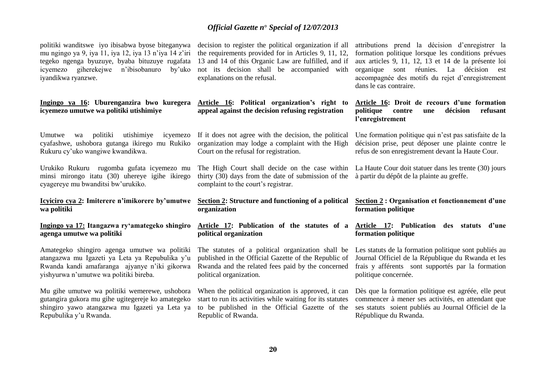politiki wanditswe iyo ibisabwa byose biteganywa mu ngingo ya 9, iya 11, iya 12, iya 13 n'iya 14 z'iri tegeko ngenga byuzuye, byaba bituzuye rugafata icyemezo giherekejwe n'ibisobanuro by'uko iyandikwa ryanzwe.

**Ingingo ya 16: Uburenganzira bwo kuregera icyemezo umutwe wa politiki utishimiye** 

Umutwe wa politiki utishimiye icyemezo cyafashwe, ushobora gutanga ikirego mu Rukiko Rukuru cy'uko wangiwe kwandikwa.

Urukiko Rukuru rugomba gufata icyemezo mu minsi mirongo itatu (30) uhereye igihe ikirego cyagereye mu bwanditsi bw'urukiko.

**Icyiciro cya 2: Imiterere n'imikorere by'umutwe wa politiki**

### **Ingingo ya 17: Itangazwa ry'amategeko shingiro agenga umutwe wa politiki**

Amategeko shingiro agenga umutwe wa politiki atangazwa mu Igazeti ya Leta ya Repubulika y'u Rwanda kandi amafaranga ajyanye n'iki gikorwa yishyurwa n'umutwe wa politiki bireba.

Mu gihe umutwe wa politiki wemerewe, ushobora gutangira gukora mu gihe ugitegereje ko amategeko shingiro yawo atangazwa mu Igazeti ya Leta ya Repubulika y'u Rwanda.

decision to register the political organization if all the requirements provided for in Articles 9, 11, 12, 13 and 14 of this Organic Law are fulfilled, and if not its decision shall be accompanied with explanations on the refusal.

**Article 16: Political organization's right to appeal against the decision refusing registration**

If it does not agree with the decision, the political organization may lodge a complaint with the High Court on the refusal for registration.

The High Court shall decide on the case within thirty (30) days from the date of submission of the complaint to the court's registrar.

**Section 2: Structure and functioning of a political organization**

**Article 17: Publication of the statutes of a political organization**

The statutes of a political organization shall be published in the Official Gazette of the Republic of Rwanda and the related fees paid by the concerned political organization.

When the political organization is approved, it can start to run its activities while waiting for its statutes to be published in the Official Gazette of the Republic of Rwanda.

attributions prend la décision d'enregistrer la formation politique lorsque les conditions prévues aux articles 9, 11, 12, 13 et 14 de la présente loi organique sont réunies. La décision est accompagnée des motifs du rejet d'enregistrement dans le cas contraire.

**Article 16: Droit de recours d'une formation politique contre une décision refusant l'enregistrement**

Une formation politique qui n'est pas satisfaite de la décision prise, peut déposer une plainte contre le refus de son enregistrement devant la Haute Cour.

La Haute Cour doit statuer dans les trente (30) jours à partir du dépôt de la plainte au greffe.

**Section 2 : Organisation et fonctionnement d'une formation politique**

**Article 17: Publication des statuts d'une formation politique**

Les statuts de la formation politique sont publiés au Journal Officiel de la République du Rwanda et les frais y afférents sont supportés par la formation politique concernée.

Dès que la formation politique est agréée, elle peut commencer à mener ses activités, en attendant que ses statuts soient publiés au Journal Officiel de la République du Rwanda.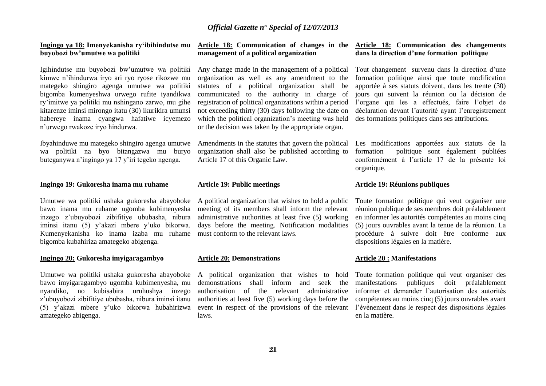#### **Ingingo ya 18: Imenyekanisha ry'ibihindutse mu buyobozi bw'umutwe wa politiki**

Igihindutse mu buyobozi bw'umutwe wa politiki kimwe n'ihindurwa iryo ari ryo ryose rikozwe mu mategeko shingiro agenga umutwe wa politiki bigomba kumenyeshwa urwego rufite iyandikwa ry'imitwe ya politiki mu nshingano zarwo, mu gihe kitarenze iminsi mirongo itatu (30) ikurikira umunsi habereye inama cyangwa hafatiwe icyemezo n'urwego rwakoze iryo hindurwa.

Ibyahinduwe mu mategeko shingiro agenga umutwe wa politiki na byo bitangazwa mu buryo buteganywa n'ingingo ya 17 y'iri tegeko ngenga.

#### **Ingingo 19: Gukoresha inama mu ruhame**

Umutwe wa politiki ushaka gukoresha abayoboke bawo inama mu ruhame ugomba kubimenyesha inzego z'ubuyobozi zibifitiye ububasha, nibura iminsi itanu (5) y'akazi mbere y'uko bikorwa. Kumenyekanisha ko inama izaba mu ruhame bigomba kubahiriza amategeko abigenga.

#### **Ingingo 20: Gukoresha imyigaragambyo**

Umutwe wa politiki ushaka gukoresha abayoboke bawo imyigaragambyo ugomba kubimenyesha, mu nyandiko, no kubisabira uruhushya inzego z'ubuyobozi zibifitiye ububasha, nibura iminsi itanu (5) y'akazi mbere y'uko bikorwa hubahirizwa amategeko abigenga.

### **Article 18: Communication of changes in the management of a political organization**

Any change made in the management of a political organization as well as any amendment to the statutes of a political organization shall be communicated to the authority in charge of registration of political organizations within a period not exceeding thirty (30) days following the date on which the political organization's meeting was held or the decision was taken by the appropriate organ.

Amendments in the statutes that govern the political organization shall also be published according to Article 17 of this Organic Law.

### **Article 19: Public meetings**

A political organization that wishes to hold a public meeting of its members shall inform the relevant administrative authorities at least five (5) working days before the meeting. Notification modalities must conform to the relevant laws.

### **Article 20: Demonstrations**

A political organization that wishes to hold demonstrations shall inform and seek the authorisation of the relevant administrative authorities at least five (5) working days before the event in respect of the provisions of the relevant laws.

### **Article 18: Communication des changements dans la direction d'une formation politique**

Tout changement survenu dans la direction d'une formation politique ainsi que toute modification apportée à ses statuts doivent, dans les trente (30) jours qui suivent la réunion ou la décision de l'organe qui les a effectués, faire l'objet de déclaration devant l'autorité ayant l'enregistrement des formations politiques dans ses attributions.

Les modifications apportées aux statuts de la formation politique sont également publiées conformément à l'article 17 de la présente loi organique.

### **Article 19: Réunions publiques**

Toute formation politique qui veut organiser une réunion publique de ses membres doit préalablement en informer les autorités compétentes au moins cinq (5) jours ouvrables avant la tenue de la réunion. La procédure à suivre doit être conforme aux dispositions légales en la matière.

#### **Article 20 : Manifestations**

Toute formation politique qui veut organiser des manifestations publiques doit préalablement informer et demander l'autorisation des autorités compétentes au moins cinq (5) jours ouvrables avant l'évènement dans le respect des dispositions légales en la matière.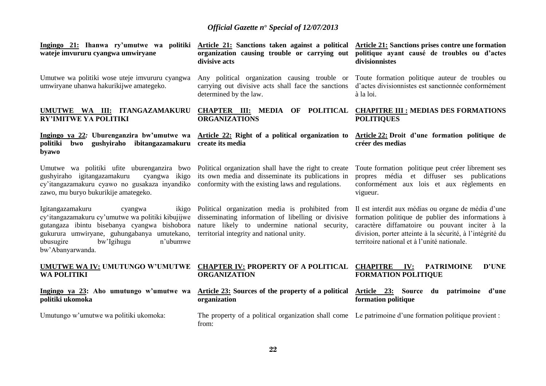| wateje imvururu cyangwa umwiryane                                                                                                                                                                                                                                           | Ingingo 21: Ihanwa ry'umutwe wa politiki Article 21: Sanctions taken against a political Article 21: Sanctions prises contre une formation<br>organization causing trouble or carrying out<br>divisive acts | politique ayant causé de troubles ou d'actes<br>divisionnistes                                                                                                                                                                                                         |
|-----------------------------------------------------------------------------------------------------------------------------------------------------------------------------------------------------------------------------------------------------------------------------|-------------------------------------------------------------------------------------------------------------------------------------------------------------------------------------------------------------|------------------------------------------------------------------------------------------------------------------------------------------------------------------------------------------------------------------------------------------------------------------------|
| Umutwe wa politiki wose uteje imvururu cyangwa<br>umwiryane uhanwa hakurikijwe amategeko.                                                                                                                                                                                   | Any political organization causing trouble or Toute formation politique auteur de troubles ou<br>carrying out divisive acts shall face the sanctions<br>determined by the law.                              | d'actes divisionnistes est sanctionnée conformément<br>à la loi.                                                                                                                                                                                                       |
| UMUTWE WA III: ITANGAZAMAKURU<br><b>RY'IMITWE YA POLITIKI</b>                                                                                                                                                                                                               | CHAPTER III: MEDIA OF POLITICAL CHAPITRE III : MEDIAS DES FORMATIONS<br><b>ORGANIZATIONS</b>                                                                                                                | <b>POLITIQUES</b>                                                                                                                                                                                                                                                      |
| gushyiraho ibitangazamakuru create its media<br>politiki<br>bwo<br>byawo                                                                                                                                                                                                    | Ingingo ya 22: Uburenganzira bw'umutwe wa Article 22: Right of a political organization to Article 22: Droit d'une formation politique de                                                                   | créer des medias                                                                                                                                                                                                                                                       |
| Umutwe wa politiki ufite uburenganzira bwo Political organization shall have the right to create<br>gushyiraho igitangazamakuru<br>cy'itangazamakuru cyawo no gusakaza inyandiko conformity with the existing laws and regulations.<br>zawo, mu buryo bukurikije amategeko. | cyangwa ikigo its own media and disseminate its publications in                                                                                                                                             | Toute formation politique peut créer librement ses<br>propres média et diffuser ses publications<br>conformément aux lois et aux règlements en<br>vigueur.                                                                                                             |
| Igitangazamakuru<br>ikigo<br>cyangwa<br>cy'itangazamakuru cy'umutwe wa politiki kibujijwe<br>gutangaza ibintu bisebanya cyangwa bishobora<br>gukurura umwiryane, guhungabanya umutekano,<br>bw'Igihugu<br>ubusugire<br>n'ubumwe<br>bw'Abanyarwanda.                         | Political organization media is prohibited from<br>disseminating information of libelling or divisive<br>nature likely to undermine national security,<br>territorial integrity and national unity.         | Il est interdit aux médias ou organe de média d'une<br>formation politique de publier des informations à<br>caractère diffamatoire ou pouvant inciter à la<br>division, porter atteinte à la sécurité, à l'intégrité du<br>territoire national et à l'unité nationale. |
| UMUTWE WA IV: UMUTUNGO W'UMUTWE<br><b>WA POLITIKI</b>                                                                                                                                                                                                                       | <b>CHAPTER IV: PROPERTY OF A POLITICAL</b><br><b>ORGANIZATION</b>                                                                                                                                           | IV:<br><b>D'UNE</b><br><b>CHAPITRE</b><br><b>PATRIMOINE</b><br><b>FORMATION POLITIQUE</b>                                                                                                                                                                              |
| Ingingo ya 23: Aho umutungo w'umutwe wa<br>politiki ukomoka                                                                                                                                                                                                                 | Article 23: Sources of the property of a political<br>organization                                                                                                                                          | Article 23:<br>Source du patrimoine d'une<br>formation politique                                                                                                                                                                                                       |
| Umutungo w'umutwe wa politiki ukomoka:                                                                                                                                                                                                                                      | The property of a political organization shall come Le patrimoine d'une formation politique provient :<br>from:                                                                                             |                                                                                                                                                                                                                                                                        |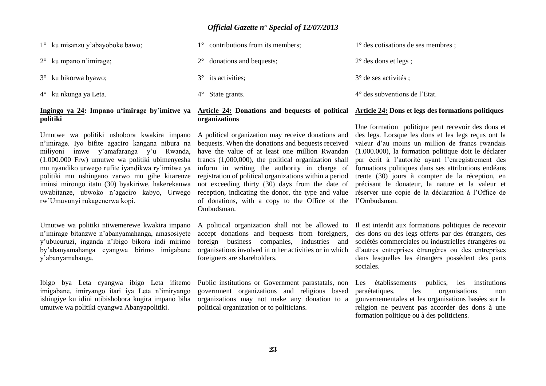| $1^{\circ}$ ku misanzu y'abayoboke bawo; | $1^{\circ}$ contributions from its members; | $1^{\circ}$ des cotisations de ses membres; |
|------------------------------------------|---------------------------------------------|---------------------------------------------|
| $2^{\circ}$ ku mpano n'imirage;          | $2^{\circ}$ donations and bequests;         | $2^{\circ}$ des dons et legs;               |
| $3^\circ$ ku bikorwa byawo;              | $3^\circ$ its activities;                   | $3^{\circ}$ de ses activités ;              |
| $4^{\circ}$ ku nkunga ya Leta.           | $4^{\circ}$ State grants.                   | 4° des subventions de l'Etat.               |

### **Ingingo ya 24: Impano n'imirage by'imitwe ya politiki**

Umutwe wa politiki ushobora kwakira impano n'imirage. Iyo bifite agaciro kangana nibura na miliyoni imwe y'amafaranga y'u Rwanda, (1.000.000 Frw) umutwe wa politiki ubimenyesha mu nyandiko urwego rufite iyandikwa ry'imitwe ya politiki mu nshingano zarwo mu gihe kitarenze iminsi mirongo itatu (30) byakiriwe, hakerekanwa uwabitanze, ubwoko n'agaciro kabyo, Urwego rw'Umuvunyi rukagenerwa kopi.

Umutwe wa politiki ntiwemerewe kwakira impano n'imirage bitanzwe n'abanyamahanga, amasosiyete y'ubucuruzi, inganda n'ibigo bikora indi mirimo by'abanyamahanga cyangwa birimo imigabane y'abanyamahanga.

Ibigo bya Leta cyangwa ibigo Leta ifitemo imigabane, imiryango itari iya Leta n'imiryango ishingiye ku idini ntibishobora kugira impano biha umutwe wa politiki cyangwa Abanyapolitiki.

### **Article 24: Donations and bequests of political organizations**

A political organization may receive donations and bequests. When the donations and bequests received have the value of at least one million Rwandan francs (1,000,000), the political organization shall inform in writing the authority in charge of registration of political organizations within a period not exceeding thirty (30) days from the date of reception, indicating the donor, the type and value of donations, with a copy to the Office of the l'Ombudsman. Ombudsman.

A political organization shall not be allowed to accept donations and bequests from foreigners, foreign business companies, industries and organisations involved in other activities or in which foreigners are shareholders.

Public institutions or Government parastatals, non government organizations and religious based organizations may not make any donation to a political organization or to politicians.

# Une formation politique peut recevoir des dons et

**Article 24: Dons et legs des formations politiques**

des legs. Lorsque les dons et les legs reçus ont la valeur d'au moins un million de francs rwandais (1.000.000), la formation politique doit le déclarer par écrit à l'autorité ayant l'enregistrement des formations politiques dans ses attributions endéans trente (30) jours à compter de la réception, en précisant le donateur, la nature et la valeur et réserver une copie de la déclaration à l'Office de

Il est interdit aux formations politiques de recevoir des dons ou des legs offerts par des étrangers, des sociétés commerciales ou industrielles étrangères ou d'autres entreprises étrangères ou des entreprises dans lesquelles les étrangers possèdent des parts sociales.

Les établissements publics, les institutions paraétatiques, les organisations non gouvernementales et les organisations basées sur la religion ne peuvent pas accorder des dons à une formation politique ou à des politiciens.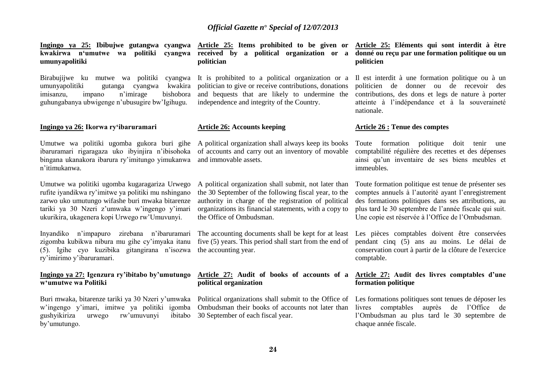**Ingingo ya 25: Ibibujwe gutangwa cyangwa Article 25: Items prohibited to be given or kwakirwa n'umutwe wa politiki cyangwa received by a political organization or a umunyapolitiki**

Birabujijwe ku mutwe wa politiki cyangwa umunyapolitiki gutanga cyangwa kwakira imisanzu, impano n'imirage bishobora guhungabanya ubwigenge n'ubusugire bw'Igihugu.

### **Ingingo ya 26: Ikorwa ry'ibaruramari**

Umutwe wa politiki ugomba gukora buri gihe ibaruramari rigaragaza uko ibyinjira n'ibisohoka bingana ukanakora ibarura ry'imitungo yimukanwa n'itimukanwa.

Umutwe wa politiki ugomba kugaragariza Urwego rufite iyandikwa ry'imitwe ya politiki mu nshingano zarwo uko umutungo wifashe buri mwaka bitarenze tariki ya 30 Nzeri z'umwaka w'ingengo y'imari ukurikira, ukagenera kopi Urwego rw'Umuvunyi.

Inyandiko n'impapuro zirebana n'ibaruramari zigomba kubikwa nibura mu gihe cy'imyaka itanu (5). Igihe cyo kuzibika gitangirana n'isozwa ry'imirimo y'ibaruramari.

### **Ingingo ya 27: Igenzura ry'ibitabo by'umutungo w'umutwe wa Politiki**

Buri mwaka, bitarenze tariki ya 30 Nzeri y'umwaka w'ingengo y'imari, imitwe ya politiki igomba gushyikiriza urwego rw'umuvunyi ibitabo by'umutungo.

**politician**

It is prohibited to a political organization or a politician to give or receive contributions, donations and bequests that are likely to undermine the independence and integrity of the Country.

### **Article 26: Accounts keeping**

A political organization shall always keep its books of accounts and carry out an inventory of movable and immovable assets.

A political organization shall submit, not later than the 30 September of the following fiscal year, to the authority in charge of the registration of political organizations its financial statements, with a copy to the Office of Ombudsman.

The accounting documents shall be kept for at least five (5) years. This period shall start from the end of the accounting year.

### **Article 27: Audit of books of accounts of a political organization**

Political organizations shall submit to the Office of Ombudsman their books of accounts not later than 30 September of each fiscal year.

### **Article 25: Eléments qui sont interdit à être donné ou reçu par une formation politique ou un politicien**

Il est interdit à une formation politique ou à un politicien de donner ou de recevoir des contributions, des dons et legs de nature à porter atteinte à l'indépendance et à la souveraineté nationale.

### **Article 26 : Tenue des comptes**

Toute formation politique doit tenir une comptabilité régulière des recettes et des dépenses ainsi qu'un inventaire de ses biens meubles et immeubles.

Toute formation politique est tenue de présenter ses comptes annuels à l'autorité ayant l'enregistrement des formations politiques dans ses attributions, au plus tard le 30 septembre de l'année fiscale qui suit. Une copie est réservée à l'Office de l'Ombudsman.

Les pièces comptables doivent être conservées pendant cinq (5) ans au moins. Le délai de conservation court à partir de la clôture de l'exercice comptable.

### **Article 27: Audit des livres comptables d'une formation politique**

Les formations politiques sont tenues de déposer les livres comptables auprès de l'Office de l'Ombudsman au plus tard le 30 septembre de chaque année fiscale.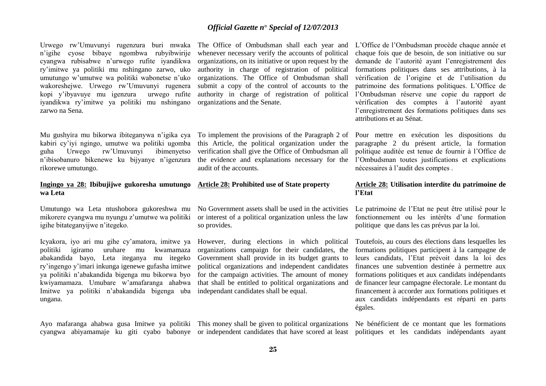Urwego rw'Umuvunyi rugenzura buri mwaka n'igihe cyose bibaye ngombwa rubyibwirije cyangwa rubisabwe n'urwego rufite iyandikwa ry'imitwe ya politiki mu nshingano zarwo, uko umutungo w'umutwe wa politiki wabonetse n'uko wakoreshejwe. Urwego rw'Umuvunyi rugenera kopi v'ibyavuye mu igenzura iyandikwa ry'imitwe ya politiki mu nshingano zarwo na Sena.

Mu gushyira mu bikorwa ibiteganywa n'igika cya kabiri cy'iyi ngingo, umutwe wa politiki ugomba guha Urwego rw'Umuvunyi ibimenyetso n'ibisobanuro bikenewe ku bijyanye n'igenzura rikorewe umutungo.

### **Ingingo ya 28: Ibibujijwe gukoresha umutungo wa Leta**

Umutungo wa Leta ntushobora gukoreshwa mu mikorere cyangwa mu nyungu z'umutwe wa politiki igihe bitateganyijwe n'itegeko.

Icyakora, iyo ari mu gihe cy'amatora, imitwe ya politiki igiramo uruhare mu kwamamaza abakandida bayo, Leta iteganya mu itegeko ry'ingengo y'imari inkunga igenewe gufasha imitwe ya politiki n'abakandida bigenga mu bikorwa byo kwiyamamaza. Umubare w'amafaranga ahabwa Imitwe ya politiki n'abakandida bigenga uba ungana.

cyangwa abiyamamaje ku giti cyabo babonye or independent candidates that have scored at least

The Office of Ombudsman shall each year and whenever necessary verify the accounts of political organizations, on its initiative or upon request by the authority in charge of registration of political organizations. The Office of Ombudsman shall submit a copy of the control of accounts to the authority in charge of registration of political organizations and the Senate.

To implement the provisions of the Paragraph 2 of this Article, the political organization under the verification shall give the Office of Ombudsman all the evidence and explanations necessary for the audit of the accounts.

### **Article 28: Prohibited use of State property**

No Government assets shall be used in the activities or interest of a political organization unless the law so provides.

However, during elections in which political organizations campaign for their candidates, the Government shall provide in its budget grants to political organizations and independent candidates for the campaign activities. The amount of money that shall be entitled to political organizations and independant candidates shall be equal.

Ayo mafaranga ahabwa gusa Imitwe ya politiki This money shall be given to political organizations

L'Office de l'Ombudsman procède chaque année et chaque fois que de besoin, de son initiative ou sur demande de l'autorité ayant l'enregistrement des formations politiques dans ses attributions, à la vérification de l'origine et de l'utilisation du patrimoine des formations politiques. L'Office de l'Ombudsman réserve une copie du rapport de vérification des comptes à l'autorité ayant l'enregistrement des formations politiques dans ses attributions et au Sénat.

Pour mettre en exécution les dispositions du paragraphe 2 du présent article, la formation politique auditée est tenue de fournir à l'Office de l'Ombudsman toutes justifications et explications nécessaires à l'audit des comptes .

### **Article 28: Utilisation interdite du patrimoine de l'Etat**

Le patrimoine de l'Etat ne peut être utilisé pour le fonctionnement ou les intérêts d'une formation politique que dans les cas prévus par la loi.

Toutefois, au cours des élections dans lesquelles les formations politiques participent à la campagne de leurs candidats, l'Etat prévoit dans la loi des finances une subvention destinée à permettre aux formations politiques et aux candidats indépendants de financer leur campagne électorale. Le montant du financement à accorder aux formations politiques et aux candidats indépendants est réparti en parts égales.

Ne bénéficient de ce montant que les formations politiques et les candidats indépendants ayant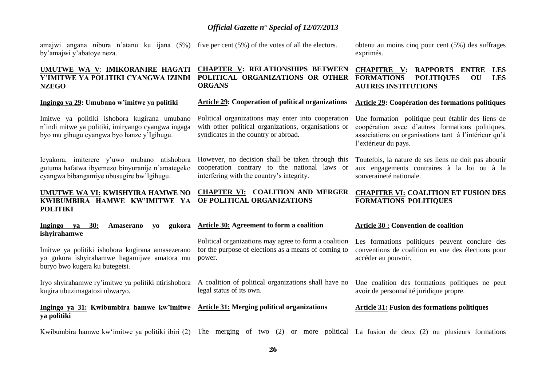amajwi angana nibura n'atanu ku ijana (5%) five per cent (5%) of the votes of all the electors. by'amajwi y'abatoye neza.

### **UMUTWE WA V**: **IMIKORANIRE HAGATI Y'IMITWE YA POLITIKI CYANGWA IZINDI NZEGO**

#### **Ingingo ya 29: Umubano w'imitwe ya politiki**

Imitwe ya politiki ishobora kugirana umubano n'indi mitwe ya politiki, imiryango cyangwa ingaga byo mu gihugu cyangwa byo hanze y'Igihugu.

Icyakora, imiterere y'uwo mubano ntishobora gutuma hafatwa ibyemezo binyuranije n'amategeko cyangwa bibangamiye ubusugire bw'Igihugu.

**UMUTWE WA VI: KWISHYIRA HAMWE NO KWIBUMBIRA HAMWE KW'IMITWE YA POLITIKI**

**Ingingo ya 30: Amaserano yo gukora ishyirahamwe** Imitwe ya politiki ishobora kugirana amasezerano yo gukora ishyirahamwe hagamijwe amatora mu power.

Iryo shyirahamwe ry'imitwe ya politiki ntirishobora A coalition of political organizations shall have no kugira ubuzimagatozi ubwaryo.

buryo bwo kugera ku butegetsi.

**Ingingo ya 31: Kwibumbira hamwe kw'imitwe Article 31: Merging political organizations ya politiki**

**CHAPTER V: RELATIONSHIPS BETWEEN POLITICAL ORGANIZATIONS OR OTHER ORGANS**

**Article 29: Cooperation of political organizations**

Political organizations may enter into cooperation with other political organizations, organizations or syndicates in the country or abroad.

However, no decision shall be taken through this cooperation contrary to the national laws or interfering with the country's integrity.

**CHAPTER VI: COALITION AND MERGER OF POLITICAL ORGANIZATIONS**

obtenu au moins cinq pour cent (5%) des suffrages exprimés.

### **CHAPITRE V: RAPPORTS ENTRE LES FORMATIONS POLITIQUES OU LES AUTRES INSTITUTIONS**

#### **Article 29: Coopération des formations politiques**

Une formation politique peut établir des liens de coopération avec d'autres formations politiques, associations ou organisations tant à l'intérieur qu'à l'extérieur du pays.

Toutefois, la nature de ses liens ne doit pas aboutir aux engagements contraires à la loi ou à la souveraineté nationale.

### **CHAPITRE VI: COALITION ET FUSION DES FORMATIONS POLITIQUES**

### **Article 30: Agreement to form a coalition** Political organizations may agree to form a coalition for the purpose of elections as a means of coming to **Article 30 : Convention de coalition** Les formations politiques peuvent conclure des conventions de coalition en vue des élections pour accéder au pouvoir.

Une coalition des formations politiques ne peut avoir de personnalité juridique propre.

### **Article 31: Fusion des formations politiques**

Kwibumbira hamwe kw'imitwe ya politiki ibiri (2) The merging of two (2) or more political La fusion de deux (2) ou plusieurs formations

legal status of its own.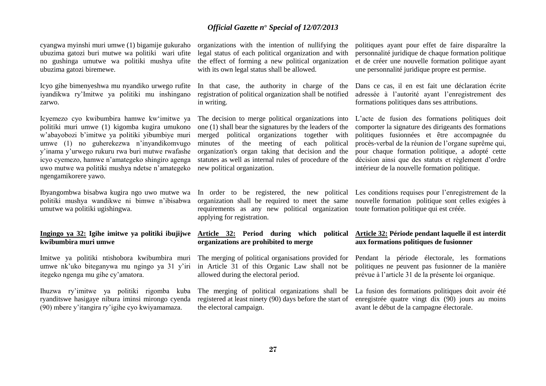cyangwa myinshi muri umwe (1) bigamije gukuraho ubuzima gatozi buri mutwe wa politiki wari ufite no gushinga umutwe wa politiki mushya ufite ubuzima gatozi biremewe.

Icyo gihe bimenyeshwa mu nyandiko urwego rufite iyandikwa ry'Imitwe ya politiki mu inshingano zarwo.

Icyemezo cyo kwibumbira hamwe kw'imitwe ya politiki muri umwe (1) kigomba kugira umukono w'abayobozi b'imitwe ya politiki yibumbiye muri umwe (1) no guherekezwa n'inyandikomvugo y'inama y'urwego rukuru rwa buri mutwe rwafashe icyo cyemezo, hamwe n'amategeko shingiro agenga uwo mutwe wa politiki mushya ndetse n'amategeko ngengamikorere yawo.

Ibyangombwa bisabwa kugira ngo uwo mutwe wa politiki mushya wandikwe ni bimwe n'ibisabwa umutwe wa politiki ugishingwa.

### **Ingingo ya 32: Igihe imitwe ya politiki ibujijwe kwibumbira muri umwe**

Imitwe ya politiki ntishobora kwibumbira muri umwe nk'uko biteganywa mu ngingo ya 31 y'iri itegeko ngenga mu gihe cy'amatora.

Ihuzwa ry'imitwe ya politiki rigomba kuba ryanditswe hasigaye nibura iminsi mirongo cyenda (90) mbere y'itangira ry'igihe cyo kwiyamamaza.

organizations with the intention of nullifying the legal status of each political organization and with the effect of forming a new political organization with its own legal status shall be allowed.

In that case, the authority in charge of the registration of political organization shall be notified in writing.

The decision to merge political organizations into one (1) shall bear the signatures by the leaders of the merged political organizations together with minutes of the meeting of each political organization's organ taking that decision and the statutes as well as internal rules of procedure of the new political organization.

In order to be registered, the new political organization shall be required to meet the same requirements as any new political organization applying for registration.

### **Article 32: Period during which political organizations are prohibited to merge**

The merging of political organisations provided for in Article 31 of this Organic Law shall not be allowed during the electoral period.

registered at least ninety (90) days before the start of the electoral campaign.

politiques ayant pour effet de faire disparaître la personnalité juridique de chaque formation politique et de créer une nouvelle formation politique ayant une personnalité juridique propre est permise.

Dans ce cas, il en est fait une déclaration écrite adressée à l'autorité ayant l'enregistrement des formations politiques dans ses attributions.

L'acte de fusion des formations politiques doit comporter la signature des dirigeants des formations politiques fusionnées et être accompagnée du procès-verbal de la réunion de l'organe suprême qui, pour chaque formation politique, a adopté cette décision ainsi que des statuts et règlement d'ordre intérieur de la nouvelle formation politique.

Les conditions requises pour l'enregistrement de la nouvelle formation politique sont celles exigées à toute formation politique qui est créée.

### **Article 32: Période pendant laquelle il est interdit aux formations politiques de fusionner**

Pendant la période électorale, les formations politiques ne peuvent pas fusionner de la manière prévue à l'article 31 de la présente loi organique.

The merging of political organizations shall be La fusion des formations politiques doit avoir été enregistrée quatre vingt dix (90) jours au moins avant le début de la campagne électorale.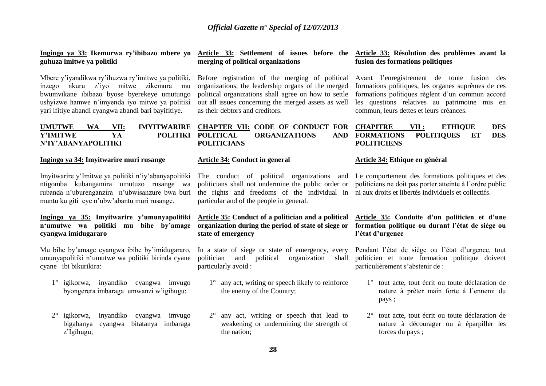### **Ingingo ya 33: Ikemurwa ry'ibibazo mbere yo guhuza imitwe ya politiki**

Mbere y'iyandikwa ry'ihuzwa ry'imitwe ya politiki, inzego nkuru z'iyo mitwe zikemura mu bwumvikane ibibazo byose byerekeye umutungo ushyizwe hamwe n'imyenda iyo mitwe ya politiki yari ifitiye abandi cyangwa abandi bari bayifitiye.

### **Y'IMITWE YA POLITIKI POLITICAL N'IY'ABANYAPOLITIKI**

### **Ingingo ya 34: Imyitwarire muri rusange**

Imyitwarire y'Imitwe ya politiki n'iy'abanyapolitiki ntigomba kubangamira umutuzo rusange wa rubanda n'uburenganzira n'ubwisanzure bwa buri muntu ku giti cye n'ubw'abantu muri rusange.

### **Ingingo ya 35: Imyitwarire y'umunyapolitiki n'umutwe wa politiki mu bihe by'amage cyangwa imidugararo**

Mu bihe by'amage cyangwa ibihe by'imidugararo, umunyapolitiki n'umutwe wa politiki birinda cyane cyane ibi bikurikira:

- 1° igikorwa, inyandiko cyangwa imvugo byongerera imbaraga umwanzi w'igihugu;
- 2° igikorwa, inyandiko cyangwa imvugo bigabanya cyangwa bitatanya imbaraga z'Igihugu;

## **merging of political organizations**

Before registration of the merging of political organizations, the leadership organs of the merged political organizations shall agree on how to settle out all issues concerning the merged assets as well as their debtors and creditors.

### **UMUTWE WA VII: IMYITWARIRE CHAPTER VII: CODE OF CONDUCT FOR PORGANIZATIONS POLITICIANS**

### **Article 34: Conduct in general**

the rights and freedoms of the individual in ni aux droits et libertés individuels et collectifs. particular and of the people in general.

### **Article 35: Conduct of a politician and a political organization during the period of state of siege or state of emergency**

In a state of siege or state of emergency, every politician and political organization shall particularly avoid :

- 1° any act, writing or speech likely to reinforce the enemy of the Country;
- 2° any act, writing or speech that lead to weakening or undermining the strength of the nation;

### **Article 33: Settlement of issues before the Article 33: Résolution des problèmes avant la fusion des formations politiques**

Avant l'enregistrement de toute fusion des formations politiques, les organes suprêmes de ces formations politiques règlent d'un commun accord les questions relatives au patrimoine mis en commun, leurs dettes et leurs créances.

### **CHAPITRE VII : ETHIQUE DES FORMATIONS POLITIQUES ET DES POLITICIENS**

### **Article 34: Ethique en général**

The conduct of political organizations and Le comportement des formations politiques et des politicians shall not undermine the public order or politiciens ne doit pas porter atteinte à l'ordre public

### **Article 35: Conduite d'un politicien et d'une formation politique ou durant l'état de siège ou l'état d'urgence**

Pendant l'état de siège ou l'état d'urgence, tout politicien et toute formation politique doivent particulièrement s'abstenir de :

- 1° tout acte, tout écrit ou toute déclaration de nature à prêter main forte à l'ennemi du pays ;
- 2° tout acte, tout écrit ou toute déclaration de nature à décourager ou à éparpiller les forces du pays ;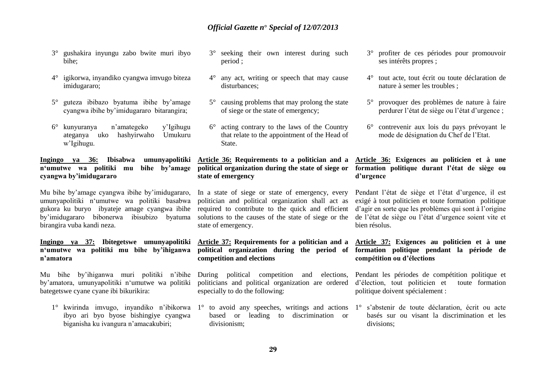- 3° gushakira inyungu zabo bwite muri ibyo bihe;
- 4° igikorwa, inyandiko cyangwa imvugo biteza imidugararo;
- 5° guteza ibibazo byatuma ibihe by'amage cyangwa ibihe by'imidugararo bitarangira;
- 6° kunyuranya n'amategeko y'Igihugu ateganya uko hashyirwaho Umukuru w'Igihugu.

**Ingingo ya 36: Ibisabwa umunyapolitiki n'umutwe wa politiki mu bihe by'amage cyangwa by'imidugararo**

Mu bihe by'amage cyangwa ibihe by'imidugararo, umunyapolitiki n'umutwe wa politiki basabwa gukora ku buryo ibyateje amage cyangwa ibihe by'imidugararo bibonerwa ibisubizo byatuma birangira vuba kandi neza.

### **Ingingo ya 37: Ibitegetswe umunyapolitiki n'umutwe wa politiki mu bihe by'ihiganwa n'amatora**

Mu bihe by'ihiganwa muri politiki n'ibihe by'amatora, umunyapolitiki n'umutwe wa politiki bategetswe cyane cyane ibi bikurikira:

1° kwirinda imvugo, inyandiko n'ibikorwa 1° to avoid any speeches, writings and actions ibyo ari byo byose bishingiye cyangwa biganisha ku ivangura n'amacakubiri;

- 3° seeking their own interest during such period ;
- 4° any act, writing or speech that may cause disturbances;
- 5° causing problems that may prolong the state of siege or the state of emergency;
- 6° acting contrary to the laws of the Country that relate to the appointment of the Head of State.

### **Article 36: Requirements to a politician and a political organization during the state of siege or state of emergency**

In a state of siege or state of emergency, every politician and political organization shall act as required to contribute to the quick and efficient solutions to the causes of the state of siege or the state of emergency.

### **Article 37: Requirements for a politician and a political organization during the period of competition and elections**

During political competition and elections, politicians and political organization are ordered especially to do the following:

based or leading to discrimination or divisionism;

- 3° profiter de ces périodes pour promouvoir ses intérêts propres ;
- 4° tout acte, tout écrit ou toute déclaration de nature à semer les troubles ;
- 5° provoquer des problèmes de nature à faire perdurer l'état de siège ou l'état d'urgence ;
- 6° contrevenir aux lois du pays prévoyant le mode de désignation du Chef de l'Etat.

### **Article 36: Exigences au politicien et à une formation politique durant l'état de siège ou d'urgence**

Pendant l'état de siège et l'état d'urgence, il est exigé à tout politicien et toute formation politique d'agir en sorte que les problèmes qui sont à l'origine de l'état de siège ou l'état d'urgence soient vite et bien résolus.

### **Article 37: Exigences au politicien et à une formation politique pendant la période de compétition ou d'élections**

Pendant les périodes de compétition politique et d'élection, tout politicien et toute formation politique doivent spécialement :

1° s'abstenir de toute déclaration, écrit ou acte basés sur ou visant la discrimination et les divisions;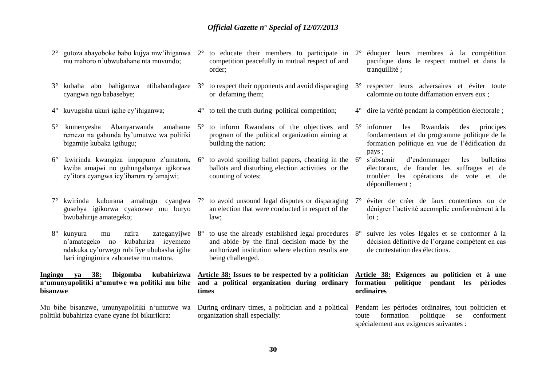- 2° gutoza abayoboke babo kujya mw'ihiganwa 2° to educate their members to participate in mu mahoro n'ubwubahane nta muvundo;
- 3° kubaha abo bahiganwa ntibabandagaze cyangwa ngo babasebye;
- 4° kuvugisha ukuri igihe cy'ihiganwa;
- 5° kumenyesha Abanyarwanda amahame remezo na gahunda by'umutwe wa politiki bigamije kubaka Igihugu;
- kwiba amajwi no guhungabanya igikorwa cy'itora cyangwa icy'ibarura ry'amajwi;
- gusebya igikorwa cyakozwe mu buryo bwubahirije amategeko;
- 8° kunyura mu nzira zateganyijwe n'amategeko no kubahiriza icyemezo ndakuka cy'urwego rubifiye ububasha igihe hari ingingimira zabonetse mu matora.

### **Ingingo ya 38: Ibigomba kubahirizwa n'umunyapolitiki n'umutwe wa politiki mu bihe bisanzwe**

Mu bihe bisanzwe, umunyapolitiki n'umutwe wa politiki bubahiriza cyane cyane ibi bikurikira:

- competition peacefully in mutual respect of and order;
- to respect their opponents and avoid disparaging  $3^\circ$ or defaming them;
- 4° to tell the truth during political competition;
- 5° to inform Rwandans of the objectives and program of the political organization aiming at building the nation;
- 6° kwirinda kwangiza impapuro z'amatora, 6° to avoid spoiling ballot papers, cheating in the ballots and disturbing election activities or the counting of votes;
	- an election that were conducted in respect of the law;
	- to use the already established legal procedures 8° and abide by the final decision made by the authorized institution where election results are being challenged.

**Article 38: Issues to be respected by a politician and a political organization during ordinary times**

During ordinary times, a politician and a political organization shall especially:

- 2° éduquer leurs membres à la compétition pacifique dans le respect mutuel et dans la tranquillité ;
- 3° respecter leurs adversaires et éviter toute calomnie ou toute diffamation envers eux ;
- 4° dire la vérité pendant la compétition électorale ;
- 5° informer les Rwandais des principes fondamentaux et du programme politique de la formation politique en vue de l'édification du pays ;<br>s'abstenir
- d'endommager les bulletins électoraux, de frauder les suffrages et de troubler les opérations de vote et de dépouillement ;
- 7° kwirinda kuburana amahugu cyangwa 7° to avoid unsound legal disputes or disparaging 7° éviter de créer de faux contentieux ou de dénigrer l'activité accomplie conformément à la loi ;
	- suivre les voies légales et se conformer à la décision définitive de l'organe compétent en cas de contestation des élections.

### **Article 38: Exigences au politicien et à une formation politique pendant les périodes ordinaires**

Pendant les périodes ordinaires, tout politicien et toute formation politique se conforment spécialement aux exigences suivantes :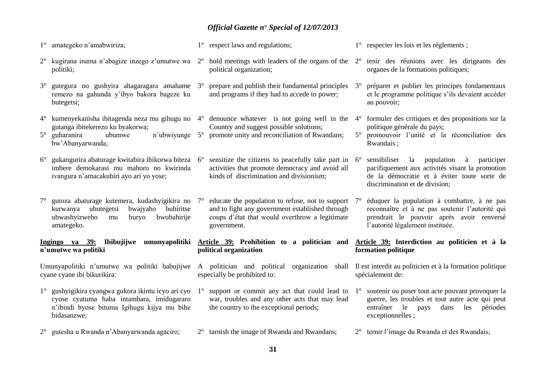- 1° amategeko n'amabwiriza;
- 2° kugirana inama n'abagize inzego z'umutwe wa 2° hold meetings with leaders of the organs of the 2° tenir des réunions avec les dirigeants des politiki;
- 3° gutegura no gushyira ahagaragara amahame remezo na gahunda y'ibyo bakora bageze ku butegetsi;
- 4° kumenyekanisha ibitagenda neza mu gihugu no 4° denounce whatever is not going well in the 4° formuler des critiques et des propositions sur la gutanga ibitekerezo ku byakorwa;
- 5° guharanira ubumwe n'ubwiyunge 5° promote unity and reconciliation of Rwandans; bw'Abanyarwanda;
- 6° gukangurira abaturage kwitabira ibikorwa biteza 6° sensitize the citizens to peacefully take part in imbere demokarasi mu mahoro no kwirinda ivangura n'amacakubiri ayo ari yo yose;
- 7° gutoza abaturage kutemera, kudashyigikira no kurwanya ubutegetsi bwajyaho buhiritse ubwashyizweho mu buryo bwubahirije amategeko.

**Ingingo ya 39: Ibibujijwe umunyapolitiki Article 39: Prohibition to a politician and Article 39: Interdiction au politicien et à la n'umutwe wa politiki**

cyane cyane ibi bikurikira:

1° gushyigikira cyangwa gukora ikintu icyo ari cyo cyose cyatuma haba intambara, imidugararo n'ibindi byose bituma Igihugu kijya mu bihe bidasanzwe;

2° gutesha u Rwanda n'Abanyarwanda agaciro;

- 1° respect laws and regulations;
	- political organization;
	- 3° prepare and publish their fundamental principles and programs if they had to accede to power;
	- Country and suggest possible solutions;
	-
	- activities that promote democracy and avoid all kinds of discrimination and divisionism;
	- educate the population to refuse, not to support  $7^\circ$ and to fight any government established through coups d'état that would overthrow a legitimate government.

**political organization**

- especially be prohibited to:
- 1° support or commit any act that could lead to war, troubles and any other acts that may lead the country to the exceptional periods;
- 2° tarnish the image of Rwanda and Rwandans;
- 1° respecter les lois et les règlements ;
- organes de la formations politiques;
- 3° préparer et publier les principes fondamentaux et le programme politique s'ils devaient accéder au pouvoir;
- politique générale du pays;
- 5° promouvoir l'unité et la réconciliation des Rwandais ;

6° sensibiliser la population à participer pacifiquement aux activités visant la promotion de la démocratie et à éviter toute sorte de discrimination et de division;

7° éduquer la population à combattre, à ne pas reconnaître et à ne pas soutenir l'autorité qui prendrait le pouvoir après avoir renversé l'autorité légalement instituée.

# **formation politique**

Umunyapolitiki n'umutwe wa politiki babujijwe A politician and political organization shall Ilest interdit au politicien et à la formation politique spécialement de:

- 1° soutenir ou poser tout acte pouvant provoquer la guerre, les troubles et tout autre acte qui peut entraîner le pays dans les périodes exceptionnelles ;
- 2° ternir l'image du Rwanda et des Rwandais;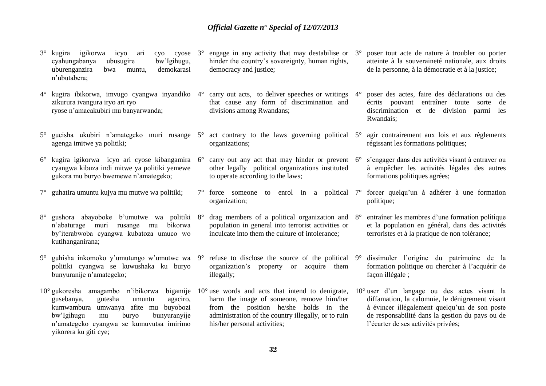- 3° kugira igikorwa icyo ari cyo cyose cyahungabanya ubusugire bw'Igihugu, uburenganzira bwa muntu, demokarasi n'ubutabera;
- 4° kugira ibikorwa, imvugo cyangwa inyandiko zikurura ivangura iryo ari ryo ryose n'amacakubiri mu banyarwanda;
- 5° gucisha ukubiri n'amategeko muri rusange 5° act contrary to the laws governing political agenga imitwe ya politiki;
- 6° kugira igikorwa icyo ari cyose kibangamira 6° carry out any act that may hinder or prevent 6° s'engager dans des activités visant à entraver ou cyangwa kibuza indi mitwe ya politiki yemewe gukora mu buryo bwemewe n'amategeko;
- 7° guhatira umuntu kujya mu mutwe wa politiki;
- 8° gushora abayoboke b'umutwe wa politiki n'abaturage muri rusange mu bikorwa by'iterabwoba cyangwa kubatoza umuco wo kutihanganirana;
- 9° guhisha inkomoko y'umutungo w'umutwe wa politiki cyangwa se kuwushaka ku buryo bunyuranije n'amategeko;
- 10° gukoresha amagambo n'ibikorwa bigamije 10° use words and acts that intend to denigrate, gusebanya, gutesha umuntu agaciro, kumwambura umwanya afite mu buyobozi bw'Igihugu mu buryo bunyuranyije n'amategeko cyangwa se kumuvutsa imirimo yikorera ku giti cye;
- engage in any activity that may destabilise or  $3^\circ$ hinder the country's sovereignty, human rights, democracy and justice;
	- carry out acts, to deliver speeches or writings 4° that cause any form of discrimination and divisions among Rwandans;
	- organizations;
	- other legally political organizations instituted to operate according to the laws;
	- 7° force someone to enrol in a political 7° forcer quelqu'un à adhérer à une formation organization;
	- drag members of a political organization and  $8^\circ$ population in general into terrorist activities or inculcate into them the culture of intolerance;
	- refuse to disclose the source of the political  $9^\circ$ organization's property or acquire them illegally;
	- harm the image of someone, remove him/her from the position he/she holds in the administration of the country illegally, or to ruin his/her personal activities;
- 3° poser tout acte de nature à troubler ou porter atteinte à la souveraineté nationale, aux droits de la personne, à la démocratie et à la justice;
- 4° poser des actes, faire des déclarations ou des écrits pouvant entraîner toute sorte de discrimination et de division parmi les Rwandais;
- agir contrairement aux lois et aux règlements régissant les formations politiques;
- à empêcher les activités légales des autres formations politiques agrées;
- politique;
- entraîner les membres d'une formation politique et la population en général, dans des activités terroristes et à la pratique de non tolérance;
- 9° dissimuler l'origine du patrimoine de la formation politique ou chercher à l'acquérir de façon illégale ;
- 10° user d'un langage ou des actes visant la diffamation, la calomnie, le dénigrement visant à évincer illégalement quelqu'un de son poste de responsabilité dans la gestion du pays ou de l'écarter de ses activités privées;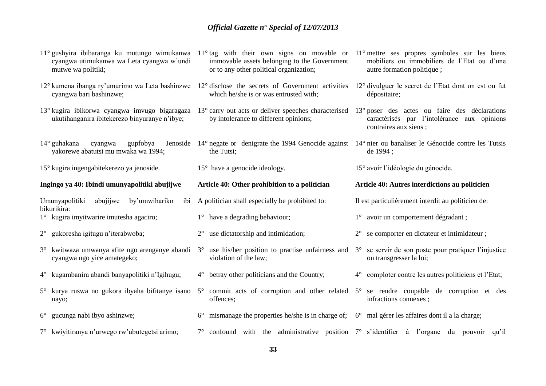| cyangwa utimukanwa wa Leta cyangwa w'undi<br>mutwe wa politiki;               | 11° gushyira ibibaranga ku mutungo wimukanwa 11° tag with their own signs on movable or 11° mettre ses propres symboles sur les biens<br>immovable assets belonging to the Government<br>or to any other political organization; | mobiliers ou immobiliers de l'Etat ou d'une<br>autre formation politique;                 |
|-------------------------------------------------------------------------------|----------------------------------------------------------------------------------------------------------------------------------------------------------------------------------------------------------------------------------|-------------------------------------------------------------------------------------------|
| cyangwa bari bashinzwe;                                                       | 12° kumena ibanga ry'umurimo wa Leta bashinzwe 12° disclose the secrets of Government activities 12° divulguer le secret de l'Etat dont on est ou fut<br>which he/she is or was entrusted with;                                  | dépositaire;                                                                              |
| ukutihanganira ibitekerezo binyuranye n'ibye;                                 | 13° kugira ibikorwa cyangwa imvugo bigaragaza 13° carry out acts or deliver speeches characterised 13° poser des actes ou faire des déclarations<br>by intolerance to different opinions;                                        | caractérisés par l'intolérance aux opinions<br>contraires aux siens;                      |
| 14° guhakana<br>cyangwa<br>gupfobya<br>yakorewe abatutsi mu mwaka wa 1994;    | Jenoside 14° negate or denigrate the 1994 Genocide against 14° nier ou banaliser le Génocide contre les Tutsis<br>the Tutsi;                                                                                                     | de 1994;                                                                                  |
| 15° kugira ingengabitekerezo ya jenoside.                                     | $15^{\circ}$ have a genocide ideology.                                                                                                                                                                                           | 15° avoir l'idéologie du génocide.                                                        |
| Ingingo ya 40: Ibindi umunyapolitiki abujijwe                                 | Article 40: Other prohibition to a politician                                                                                                                                                                                    | Article 40: Autres interdictions au politicien                                            |
|                                                                               |                                                                                                                                                                                                                                  |                                                                                           |
| by'umwihariko<br>Umunyapolitiki<br>abujijwe                                   | ibi A politician shall especially be prohibited to:                                                                                                                                                                              | Il est particulièrement interdit au politicien de:                                        |
| bikurikira:<br>1° kugira imyitwarire imutesha agaciro;                        | $1^{\circ}$ have a degrading behaviour;                                                                                                                                                                                          | 1° avoir un comportement dégradant ;                                                      |
| 2° gukoresha igitugu n'iterabwoba;                                            | use dictatorship and intimidation;<br>$2^{\circ}$                                                                                                                                                                                | 2° se comporter en dictateur et intimidateur;                                             |
| 3° kwitwaza umwanya afite ngo arenganye abandi<br>cyangwa ngo yice amategeko; | use his/her position to practise unfairness and<br>$3^\circ$<br>violation of the law;                                                                                                                                            | se servir de son poste pour pratiquer l'injustice<br>$3^\circ$<br>ou transgresser la loi; |
| 4° kugambanira abandi banyapolitiki n'Igihugu;                                | 4° betray other politicians and the Country;                                                                                                                                                                                     | 4° comploter contre les autres politiciens et l'Etat;                                     |
| 5° kurya ruswa no gukora ibyaha bifitanye isano<br>nayo;                      | 5° commit acts of corruption and other related 5° se rendre coupable de corruption et des<br>offences;                                                                                                                           | infractions connexes;                                                                     |
| gucunga nabi ibyo ashinzwe;<br>$6^{\circ}$                                    | mismanage the properties he/she is in charge of; 6° mal gérer les affaires dont il a la charge;<br>$6^{\circ}$                                                                                                                   |                                                                                           |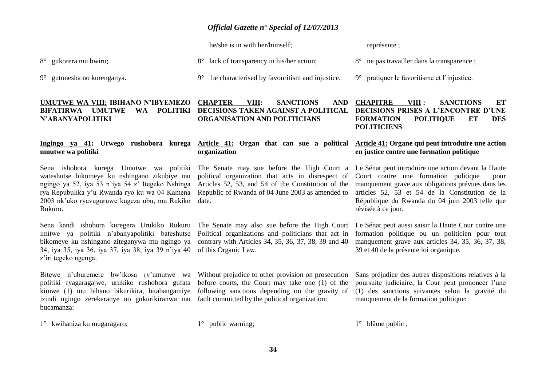he/she is in with her/himself;

8° lack of transparency in his/her action;

représente ;

8° gukorera mu bwiru;

9° gutonesha no kurenganya.

### **UMUTWE WA VIII: IBIHANO N'IBYEMEZO N'ABANYAPOLITIKI**

### **Ingingo ya 41: Urwego rushobora kurega umutwe wa politiki**

Sena ishobora kurega Umutwe wa politiki wateshutse bikomeye ku nshingano zikubiye mu ngingo ya 52, iya 53 n'iya 54 z' Itegeko Nshinga rya Repubulika y'u Rwanda ryo ku wa 04 Kamena 2003 nk'uko ryavuguruwe kugeza ubu, mu Rukiko Rukuru.

Sena kandi ishobora kuregera Urukiko Rukuru imitwe ya politiki n'abanyapolitiki bateshutse bikomeye ku nshingano ziteganywa mu ngingo ya 34, iya 35, iya 36, iya 37, iya 38, iya 39 n'iya 40 z'iri tegeko ngenga.

Bitewe n'uburemere bw'ikosa ry'umutwe wa politiki ryagaragajwe, urukiko rushobora gufata kimwe (1) mu bihano bikurikira, bitabangamiye izindi ngingo zerekeranye no gukurikiranwa mu bucamanza:

1° kwihaniza ku mugaragaro;

1° public warning;

9° be characterised by favouritism and injustice.

### **BIFATIRWA UMUTWE WA POLITIKI DECISIONS TAKEN AGAINST A POLITICAL CHAPTER VIII: SANCTIONS AND ORGANISATION AND POLITICIANS**

### **Article 41: Organ that can sue a political organization**

The Senate may sue before the High Court a political organization that acts in disrespect of Articles 52, 53, and 54 of the Constitution of the Republic of Rwanda of 04 June 2003 as amended to date.

The Senate may also sue before the High Court Political organizations and politicians that act in contrary with Articles 34, 35, 36, 37, 38, 39 and 40 of this Organic Law.

Without prejudice to other provision on prosecution before courts, the Court may take one (1) of the following sanctions depending on the gravity of fault committed by the political organization:

**CHAPITRE VIII : SANCTIONS ET** 

8° ne pas travailler dans la transparence ;

9° pratiquer le favoritisme et l'injustice.

### **DECISIONS PRISES A L'ENCONTRE D'UNE FORMATION POLITIQUE ET DES POLITICIENS**

### **Article 41: Organe qui peut introduire une action en justice contre une formation politique**

Le Sénat peut introduire une action devant la Haute Court contre une formation politique pour manquement grave aux obligations prévues dans les articles 52, 53 et 54 de la Constitution de la République du Rwanda du 04 juin 2003 telle que révisée à ce jour.

Le Sénat peut aussi saisir la Haute Cour contre une formation politique ou un politicien pour tout manquement grave aux articles 34, 35, 36, 37, 38, 39 et 40 de la présente loi organique.

Sans préjudice des autres dispositions relatives à la poursuite judiciaire, la Cour peut prononcer l'une (1) des sanctions suivantes selon la gravité du manquement de la formation politique:

1° blâme public ;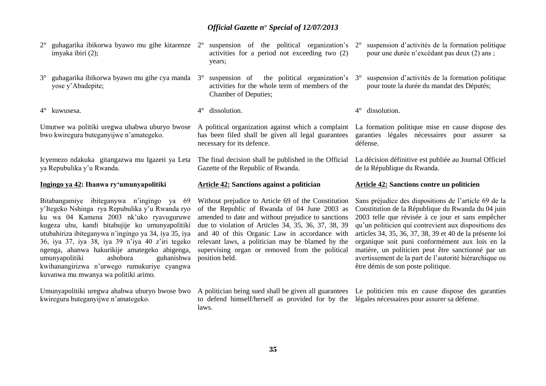- imyaka ibiri (2);
- 3° guhagarika ibikorwa byawo mu gihe cya manda yose y'Abadepite;

4° kuwusesa.

Umutwe wa politiki uregwa uhabwa uburyo bwose bwo kwiregura buteganyijwe n'amategeko.

Icyemezo ndakuka gitangazwa mu Igazeti ya Leta ya Repubulika y'u Rwanda.

### **Ingingo ya 42: Ihanwa ry'umunyapolitiki**

Bitabangamiye ibiteganywa n'ingingo ya 69 y'Itegeko Nshinga rya Repubulika y'u Rwanda ryo ku wa 04 Kamena 2003 nk'uko ryavuguruwe kugeza ubu, kandi bitabujije ko umunyapolitiki utubahiriza ibiteganywa n'ingingo ya 34, iya 35, iya 36, iya 37, iya 38, iya 39 n'iya 40 z'iri tegeko ngenga, ahanwa hakurikije amategeko abigenga, umunyapolitiki ashobora guhanishwa kwihanangirizwa n'urwego rumukuriye cyangwa kuvanwa mu mwanya wa politiki arimo.

Umunyapolitiki uregwa ahabwa uburyo bwose bwo kwiregura buteganyijwe n'amategeko.

- 2° guhagarika ibikorwa byawo mu gihe kitarenze 2° suspension of the political organization's activities for a period not exceeding two (2) years;
	- suspension of the political organization's 3° activities for the whole term of members of the Chamber of Deputies;
	- 4° dissolution.

A political organization against which a complaint has been filed shall be given all legal guarantees necessary for its defence.

The final decision shall be published in the Official Gazette of the Republic of Rwanda.

### **Article 42: Sanctions against a politician**

Without prejudice to Article 69 of the Constitution of the Republic of Rwanda of 04 June 2003 as amended to date and without prejudice to sanctions due to violation of Articles 34, 35, 36, 37, 38, 39 and 40 of this Organic Law in accordance with relevant laws, a politician may be blamed by the supervising organ or removed from the political position held.

to defend himself/herself as provided for by the légales nécessaires pour assurer sa défense. laws.

- suspension d'activités de la formation politique pour une durée n'excédant pas deux (2) ans ;
- suspension d'activités de la formation politique pour toute la durée du mandat des Députés;
- 4° dissolution.

La formation politique mise en cause dispose des garanties légales nécessaires pour assurer sa défense.

La décision définitive est publiée au Journal Officiel de la République du Rwanda.

### **Article 42: Sanctions contre un politicien**

Sans préjudice des dispositions de l'article 69 de la Constitution de la République du Rwanda du 04 juin 2003 telle que révisée à ce jour et sans empêcher qu'un politicien qui contrevient aux dispositions des articles 34, 35, 36, 37, 38, 39 et 40 de la présente loi organique soit puni conformément aux lois en la matière, un politicien peut être sanctionné par un avertissement de la part de l'autorité hiérarchique ou être démis de son poste politique.

A politician being sued shall be given all guarantees Le politicien mis en cause dispose des garanties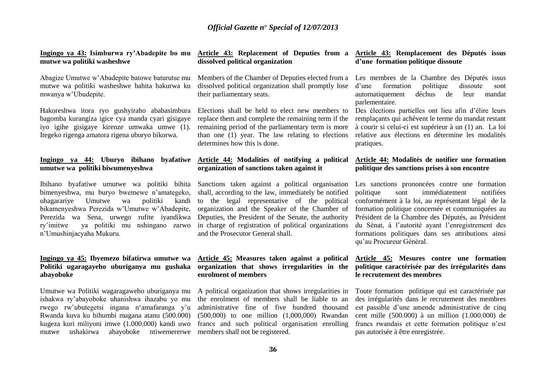**Ingingo ya 43: Isimburwa ry'Abadepite bo mu mutwe wa politiki washeshwe**

Abagize Umutwe w'Abadepite batowe baturutse mu mutwe wa politiki washeshwe bahita bakurwa ku mwanya w'Ubudepite.

Hakoreshwa itora ryo gushyiraho ababasimbura bagomba kurangiza igice cya manda cyari gisigaye iyo igihe gisigaye kirenze umwaka umwe (1). Itegeko rigenga amatora rigena uburyo bikorwa.

### **Ingingo ya 44: Uburyo ibihano byafatiwe umutwe wa politiki biwumenyeshwa**

Ibihano byafatiwe umutwe wa politiki bihita bimenyeshwa, mu buryo bwemewe n'amategeko, uhagarariye Umutwe wa politiki kandi bikamenyeshwa Perezida w'Umutwe w'Abadepite, Perezida wa Sena, urwego rufite iyandikwa ry'imitwe ya politiki mu nshingano zarwo n'Umushinjacyaha Mukuru.

### **Ingingo ya 45: Ibyemezo bifatirwa umutwe wa Politiki ugaragayeho uburiganya mu gushaka abayoboke**

Umutwe wa Politiki wagaragaweho uburiganya mu ishakwa ry'abayoboke uhanishwa ihazabu yo mu rwego rw'ubutegetsi ingana n'amafaranga y'u Rwanda kuva ku bihumbi magana atanu (500.000) kugeza kuri miliyoni imwe (1.000.000) kandi uwo mutwe ushakirwa abayoboke ntiwemererwe

### **Article 43: Replacement of Deputies from a dissolved political organization**

Members of the Chamber of Deputies elected from a dissolved political organization shall promptly lose their parliamentary seats.

Elections shall be held to elect new members to replace them and complete the remaining term if the remaining period of the parliamentary term is more than one (1) year. The law relating to elections determines how this is done.

### **Article 44: Modalities of notifying a political organization of sanctions taken against it**

Sanctions taken against a political organisation shall, according to the law, immediately be notified to the legal representative of the political organization and the Speaker of the Chamber of Deputies, the President of the Senate, the authority in charge of registration of political organizations and the Prosecutor General shall.

### **Article 45: Measures taken against a political organization that shows irregularities in the enrolment of members**

A political organization that shows irregularities in the enrolment of members shall be liable to an administrative fine of five hundred thousand (500,000) to one million (1,000,000) Rwandan francs and such political organisation enrolling members shall not be registered.

### **Article 43: Remplacement des Députés issus d'une formation politique dissoute**

Les membres de la Chambre des Députés issus d'une formation politique dissoute sont automatiquement déchus de leur mandat parlementaire.

Des élections partielles ont lieu afin d'élire leurs remplaçants qui achèvent le terme du mandat restant à courir si celui-ci est supérieur à un (1) an. La loi relative aux élections en détermine les modalités pratiques.

### **Article 44: Modalités de notifier une formation politique des sanctions prises à son encontre**

Les sanctions prononcées contre une formation politique sont immédiatement notifiées conformément à la loi, au représentant légal de la formation politique concernée et communiquées au Président de la Chambre des Députés, au Président du Sénat, à l'autorité ayant l'enregistrement des formations politiques dans ses attributions ainsi qu'au Procureur Général.

### **Article 45: Mesures contre une formation politique caractérisée par des irrégularités dans le recrutement des membres**

Toute formation politique qui est caractérisée par des irrégularités dans le recrutement des membres est passible d'une amende administrative de cinq cent mille (500.000) à un million (1.000.000) de francs rwandais et cette formation politique n'est pas autorisée à être enregistrée.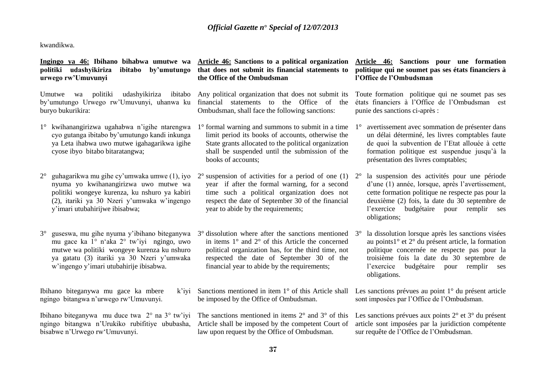kwandikwa.

### **Ingingo ya 46: Ibihano bihabwa umutwe wa politiki udashyikiriza ibitabo by'umutungo urwego rw'Umuvunyi**

Umutwe wa politiki udashyikiriza ibitabo by'umutungo Urwego rw'Umuvunyi, uhanwa ku buryo bukurikira:

- 1° kwihanangirizwa ugahabwa n'igihe ntarengwa cyo gutanga ibitabo by'umutungo kandi inkunga ya Leta ihabwa uwo mutwe igahagarikwa igihe cyose ibyo bitabo bitaratangwa;
- 2° guhagarikwa mu gihe cy'umwaka umwe (1), iyo nyuma yo kwihanangirizwa uwo mutwe wa politiki wongeye kurenza, ku nshuro ya kabiri (2), itariki ya 30 Nzeri y'umwaka w'ingengo y'imari utubahirijwe ibisabwa;
- 3° guseswa, mu gihe nyuma y'ibihano biteganywa mu gace ka 1° n'aka 2° tw'iyi ngingo, uwo mutwe wa politiki wongeye kurenza ku nshuro ya gatatu (3) itariki ya 30 Nzeri y'umwaka w'ingengo y'imari utubahirije ibisabwa.

Ibihano biteganywa mu gace ka mbere ngingo bitangwa n'urwego rw'Umuvunyi.

Ibihano biteganywa mu duce twa 2° na 3° tw'iyi ngingo bitangwa n'Urukiko rubifitiye ububasha, Article shall be imposed by the competent Court of bisabwe n'Urwego rw'Umuvunyi.

### **Article 46: Sanctions to a political organization that does not submit its financial statements to the Office of the Ombudsman**

Any political organization that does not submit its financial statements to the Office of the Ombudsman, shall face the following sanctions:

- 1° formal warning and summons to submit in a time limit period its books of accounts, otherwise the State grants allocated to the political organization shall be suspended until the submission of the books of accounts;
- $2^{\circ}$  suspension of activities for a period of one (1)  $2^{\circ}$ year if after the formal warning, for a second time such a political organization does not respect the date of September 30 of the financial year to abide by the requirements;
- $3^\circ$  dissolution where after the sanctions mentioned  $3^\circ$ in items 1° and 2° of this Article the concerned political organization has, for the third time, not respected the date of September 30 of the financial year to abide by the requirements;
- $k'$ ivi Sanctions mentioned in item  $1^{\circ}$  of this Article shall be imposed by the Office of Ombudsman.

The sanctions mentioned in items  $2^{\circ}$  and  $3^{\circ}$  of this law upon request by the Office of Ombudsman.

### **Article 46: Sanctions pour une formation politique qui ne soumet pas ses états financiers à l'Office de l'Ombudsman**

Toute formation politique qui ne soumet pas ses états financiers à l'Office de l'Ombudsman est punie des sanctions ci-après :

- 1° avertissement avec sommation de présenter dans un délai déterminé, les livres comptables faute de quoi la subvention de l'Etat allouée à cette formation politique est suspendue jusqu'à la présentation des livres comptables;
- la suspension des activités pour une période d'une (1) année, lorsque, après l'avertissement, cette formation politique ne respecte pas pour la deuxième (2) fois, la date du 30 septembre de l'exercice budgétaire pour remplir ses obligations;
- la dissolution lorsque après les sanctions visées au points1° et 2° du présent article, la formation politique concernée ne respecte pas pour la troisième fois la date du 30 septembre de l'exercice budgétaire pour remplir ses obligations.

Les sanctions prévues au point 1° du présent article sont imposées par l'Office de l'Ombudsman.

Les sanctions prévues aux points 2° et 3° du présent article sont imposées par la juridiction compétente sur requête de l'Office de l'Ombudsman.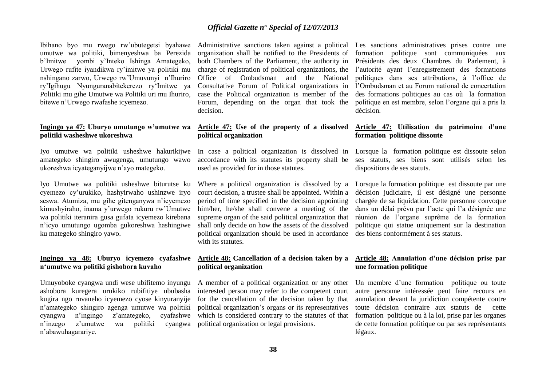Ibihano byo mu rwego rw'ubutegetsi byahawe umutwe wa politiki, bimenyeshwa ba Perezida b'Imitwe yombi y'Inteko Ishinga Amategeko, Urwego rufite iyandikwa ry'imitwe ya politiki mu nshingano zarwo, Urwego rw'Umuvunyi n'Ihuriro ry'Igihugu Nyunguranabitekerezo ry'Imitwe ya Politiki mu gihe Umutwe wa Politiki uri mu Ihuriro, bitewe n'Urwego rwafashe icyemezo.

### **Ingingo ya 47: Uburyo umutungo w'umutwe wa politiki washeshwe ukoreshwa**

Iyo umutwe wa politiki usheshwe hakurikijwe amategeko shingiro awugenga, umutungo wawo ukoreshwa icyateganyijwe n'ayo mategeko.

Iyo Umutwe wa politiki usheshwe biturutse ku cyemezo cy'urukiko, hashyirwaho ushinzwe iryo seswa. Atumiza, mu gihe gitenganywa n'icyemezo kimushyiraho, inama y'urwego rukuru rw'Umutwe wa politiki iteranira gusa gufata icyemezo kirebana n'icyo umutungo ugomba gukoreshwa hashingiwe ku mategeko shingiro yawo.

### **Ingingo ya 48: Uburyo icyemezo cyafashwe n'umutwe wa politiki gishobora kuvaho**

Umuyoboke cyangwa undi wese ubifitemo inyungu ashobora kuregera urukiko rubifitiye ububasha kugira ngo ruvaneho icyemezo cyose kinyuranyije n'amategeko shingiro agenga umutwe wa politiki cyangwa n'ingingo z'amategeko, cyafashwe n'inzego z'umutwe wa politiki cyangwa political organization or legal provisions. n'abawuhagarariye.

Administrative sanctions taken against a political organization shall be notified to the Presidents of both Chambers of the Parliament, the authority in charge of registration of political organizations, the Office of Ombudsman and the National Consultative Forum of Political organizations in case the Political organization is member of the Forum, depending on the organ that took the decision.

### **Article 47: Use of the property of a dissolved political organization**

accordance with its statutes its property shall be used as provided for in those statutes.

Where a political organization is dissolved by a court decision, a trustee shall be appointed. Within a period of time specified in the decision appointing him/her, he/she shall convene a meeting of the supreme organ of the said political organization that shall only decide on how the assets of the dissolved political organization should be used in accordance with its statutes.

### **Article 48: Cancellation of a decision taken by a political organization**

A member of a political organization or any other interested person may refer to the competent court for the cancellation of the decision taken by that political organization's organs or its representatives which is considered contrary to the statutes of that

Les sanctions administratives prises contre une formation politique sont communiquées aux Présidents des deux Chambres du Parlement, à l'autorité ayant l'enregistrement des formations politiques dans ses attributions, à l'office de l'Ombudsman et au Forum national de concertation des formations politiques au cas où la formation politique en est membre, selon l'organe qui a pris la décision.

### **Article 47: Utilisation du patrimoine d'une formation politique dissoute**

In case a political organization is dissolved in Lorsque la formation politique est dissoute selon ses statuts, ses biens sont utilisés selon les dispositions de ses statuts.

> Lorsque la formation politique est dissoute par une décision judiciaire, il est désigné une personne chargée de sa liquidation. Cette personne convoque dans un délai prévu par l'acte qui l'a désignée une réunion de l'organe suprême de la formation politique qui statue uniquement sur la destination des biens conformément à ses statuts.

### **Article 48: Annulation d'une décision prise par une formation politique**

Un membre d'une formation politique ou toute autre personne intéressée peut faire recours en annulation devant la juridiction compétente contre toute décision contraire aux statuts de cette formation politique ou à la loi, prise par les organes de cette formation politique ou par ses représentants légaux.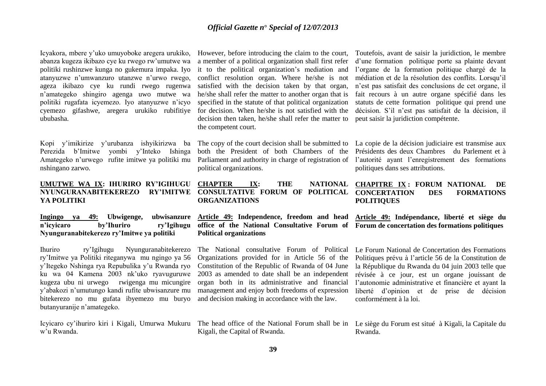Icyakora, mbere y'uko umuyoboke aregera urukiko, abanza kugeza ikibazo cye ku rwego rw'umutwe wa politiki rushinzwe kunga no gukemura impaka. Iyo atanyuzwe n'umwanzuro utanzwe n'urwo rwego, ageza ikibazo cye ku rundi rwego rugenwa n'amategeko shingiro agenga uwo mutwe wa politiki rugafata icyemezo. Iyo atanyuzwe n'icyo cyemezo gifashwe, aregera urukiko rubifitiye ububasha.

Kopi y'imikirize y'urubanza ishyikirizwa ba Perezida b'Imitwe yombi y'Inteko Ishinga Amategeko n'urwego rufite imitwe ya politiki mu nshingano zarwo.

**UMUTWE WA IX: IHURIRO RY'IGIHUGU NYUNGURANABITEKEREZO RY'IMITWE YA POLITIKI**

**Ingingo ya 49: Ubwigenge, ubwisanzure n'icyicaro by'Ihuriro ry'Igihugu Nyunguranabitekerezo ry'Imitwe ya politiki** 

Ihuriro ry'Igihugu Nyunguranabitekerezo ry'Imitwe ya Politiki riteganywa mu ngingo ya 56 y'Itegeko Nshinga rya Repubulika y'u Rwanda ryo ku wa 04 Kamena 2003 nk'uko ryavuguruwe kugeza ubu ni urwego rwigenga mu micungire y'abakozi n'umutungo kandi rufite ubwisanzure mu bitekerezo no mu gufata ibyemezo mu buryo butanyuranije n'amategeko.

w'u Rwanda.

However, before introducing the claim to the court, a member of a political organization shall first refer it to the political organization's mediation and conflict resolution organ. Where he/she is not satisfied with the decision taken by that organ, he/she shall refer the matter to another organ that is specified in the statute of that political organization for decision. When he/she is not satisfied with the decision then taken, he/she shall refer the matter to the competent court.

The copy of the court decision shall be submitted to both the President of both Chambers of the Parliament and authority in charge of registration of political organizations.

**ORGANIZATIONS**

**Article 49: Independence, freedom and head office of the National Consultative Forum of Forum de concertation des formations politiques Political organizations**

The National consultative Forum of Political Organizations provided for in Article 56 of the Constitution of the Republic of Rwanda of 04 June 2003 as amended to date shall be an independent organ both in its administrative and financial management and enjoy both freedoms of expression and decision making in accordance with the law.

Toutefois, avant de saisir la juridiction, le membre d'une formation politique porte sa plainte devant l'organe de la formation politique chargé de la médiation et de la résolution des conflits. Lorsqu'il n'est pas satisfait des conclusions de cet organe, il fait recours à un autre organe spécifié dans les statuts de cette formation politique qui prend une décision. S'il n'est pas satisfait de la décision, il peut saisir la juridiction compétente.

La copie de la décision judiciaire est transmise aux Présidents des deux Chambres du Parlement et à l'autorité ayant l'enregistrement des formations politiques dans ses attributions.

### **CHAPTER IX: THE NATIONAL CHAPITRE IX : FORUM NATIONAL DE CONSULTATIVE FORUM OF POLITICAL CONCERTATION DES FORMATIONS POLITIQUES**

**Article 49: Indépendance, liberté et siège du** 

Le Forum National de Concertation des Formations Politiques prévu à l'article 56 de la Constitution de la République du Rwanda du 04 juin 2003 telle que révisée à ce jour, est un organe jouissant de l'autonomie administrative et financière et ayant la liberté d'opinion et de prise de décision conformément à la loi.

Icyicaro cy'ihuriro kiri i Kigali, Umurwa Mukuru The head office of the National Forum shall be in Kigali, the Capital of Rwanda. Le siège du Forum est situé à Kigali, la Capitale du Rwanda.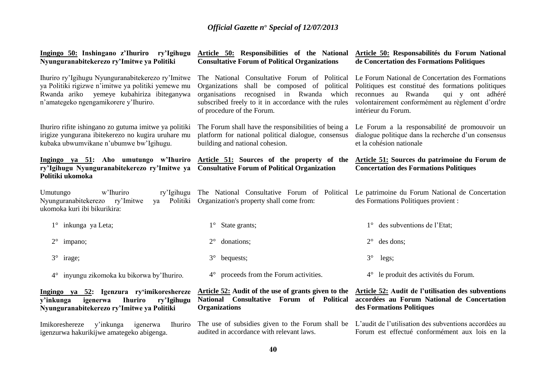| Ingingo 50: Inshingano z'Ihuriro ry'Igihugu<br>Nyunguranabitekerezo ry'Imitwe ya Politiki                                                                                                      | Article 50: Responsabilités du Forum National<br>Article 50: Responsibilities of the National<br><b>Consultative Forum of Political Organizations</b><br>de Concertation des Formations Politiques                                   |                                                                                                                                                                                                                              |  |  |
|------------------------------------------------------------------------------------------------------------------------------------------------------------------------------------------------|--------------------------------------------------------------------------------------------------------------------------------------------------------------------------------------------------------------------------------------|------------------------------------------------------------------------------------------------------------------------------------------------------------------------------------------------------------------------------|--|--|
| Ihuriro ry'Igihugu Nyunguranabitekerezo ry'Imitwe<br>ya Politiki rigizwe n'imitwe ya politiki yemewe mu<br>Rwanda ariko yemeye kubahiriza ibiteganywa<br>n'amategeko ngengamikorere y'Ihuriro. | The National Consultative Forum of Political<br>shall be composed of political<br>Organizations<br>recognised in Rwanda which<br>organisations<br>subscribed freely to it in accordance with the rules<br>of procedure of the Forum. | Le Forum National de Concertation des Formations<br>Politiques est constitué des formations politiques<br>reconnues au Rwanda<br>qui y ont adhéré<br>volontairement conformément au règlement d'ordre<br>intérieur du Forum. |  |  |
| Ihuriro rifite ishingano zo gutuma imitwe ya politiki<br>irigize yungurana ibitekerezo no kugira uruhare mu<br>kubaka ubwumvikane n'ubumwe bw'Igihugu.                                         | The Forum shall have the responsibilities of being a<br>platform for national political dialogue, consensus<br>building and national cohesion.                                                                                       | Le Forum a la responsabilité de promouvoir un<br>dialogue politique dans la recherche d'un consensus<br>et la cohésion nationale                                                                                             |  |  |
| ry'Igihugu Nyunguranabitekerezo ry'Imitwe ya Consultative Forum of Political Organization<br>Politiki ukomoka                                                                                  | Ingingo ya 51: Aho umutungo w'Ihuriro Article 51: Sources of the property of the                                                                                                                                                     | Article 51: Sources du patrimoine du Forum de<br><b>Concertation des Formations Politiques</b>                                                                                                                               |  |  |
| w'Ihuriro<br>Umutungo<br>ry'Igihugu<br>Nyunguranabitekerezo ry'Imitwe<br>Politiki<br>ya<br>ukomoka kuri ibi bikurikira:                                                                        | The National Consultative Forum of Political<br>Organization's property shall come from:                                                                                                                                             | Le patrimoine du Forum National de Concertation<br>des Formations Politiques provient :                                                                                                                                      |  |  |
| 1° inkunga ya Leta;                                                                                                                                                                            | $1^{\circ}$ State grants;                                                                                                                                                                                                            | des subventions de l'Etat;                                                                                                                                                                                                   |  |  |
| $2^{\circ}$ impano;                                                                                                                                                                            | $2^{\circ}$<br>donations;                                                                                                                                                                                                            | des dons;                                                                                                                                                                                                                    |  |  |
| $3^\circ$ irage;                                                                                                                                                                               | $3^\circ$<br>bequests;                                                                                                                                                                                                               | $3^\circ$<br>legs;                                                                                                                                                                                                           |  |  |
| inyungu zikomoka ku bikorwa by'Ihuriro.<br>$4^{\circ}$                                                                                                                                         | 4° proceeds from the Forum activities.                                                                                                                                                                                               | le produit des activités du Forum.<br>$4^{\circ}$                                                                                                                                                                            |  |  |
| Ingingo ya 52: Igenzura ry'imikoreshereze<br><b>Ihuriro</b><br>igenerwa<br>ry'Igihugu<br>y'inkunga<br>Nyunguranabitekerezo ry'Imitwe ya Politiki                                               | National Consultative Forum of Political<br><b>Organizations</b>                                                                                                                                                                     | Article 52: Audit of the use of grants given to the Article 52: Audit de l'utilisation des subventions<br>accordées au Forum National de Concertation<br>des Formations Politiques                                           |  |  |
| Imikoreshereze<br>y'inkunga<br>igenerwa<br><b>Ihuriro</b><br>igenzurwa hakurikijwe amategeko abigenga.                                                                                         | audited in accordance with relevant laws.                                                                                                                                                                                            | The use of subsidies given to the Forum shall be L'audit de l'utilisation des subventions accordées au<br>Forum est effectué conformément aux lois en la                                                                     |  |  |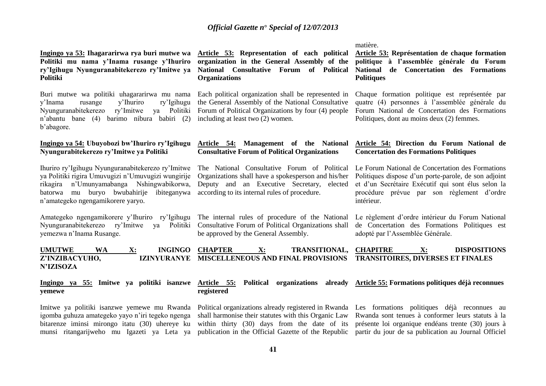### **Ingingo ya 53: Ihagararirwa rya buri mutwe wa Politiki mu nama y'Inama rusange y'Ihuriro ry'Igihugu Nyunguranabitekerezo ry'Imitwe ya Politiki**

Buri mutwe wa politiki uhagararirwa mu nama y'Inama rusange y'Ihuriro ry'Igihugu Nyunguranabitekerezo ry'Imitwe ya Politiki n'abantu bane (4) barimo nibura babiri (2) b'abagore.

### **Ingingo ya 54: Ubuyobozi bw'Ihuriro ry'Igihugu Nyungurabitekerezo ry'Imitwe ya Politiki**

Ihuriro ry'Igihugu Nyunguranabitekerezo ry'Imitwe ya Politiki rigira Umuvugizi n'Umuvugizi wungirije rikagira n'Umunyamabanga Nshingwabikorwa, batorwa mu buryo bwubahirije ibiteganywa n'amategeko ngengamikorere yaryo.

Amategeko ngengamikorere y'Ihuriro ry'Igihugu Nyunguranabitekerezo ry'Imitwe ya Politiki yemezwa n'Inama Rusange.

**Article 53: Representation of each political organization in the General Assembly of the National Consultative Forum of Political Organizations**

Each political organization shall be represented in the General Assembly of the National Consultative Forum of Political Organizations by four (4) people including at least two (2) women.

### **Article 54: Management of the National Consultative Forum of Political Organizations**

The National Consultative Forum of Political Organizations shall have a spokesperson and his/her Deputy and an Executive Secretary, elected according to its internal rules of procedure.

The internal rules of procedure of the National Consultative Forum of Political Organizations shall be approved by the General Assembly.

matière.

**Article 53: Représentation de chaque formation politique à l'assemblée générale du Forum National de Concertation des Formations Politiques**

Chaque formation politique est représentée par quatre (4) personnes à l'assemblée générale du Forum National de Concertation des Formations Politiques, dont au moins deux (2) femmes.

### **Article 54: Direction du Forum National de Concertation des Formations Politiques**

Le Forum National de Concertation des Formations Politiques dispose d'un porte-parole, de son adjoint et d'un Secrétaire Exécutif qui sont élus selon la procédure prévue par son règlement d'ordre intérieur.

Le règlement d'ordre intérieur du Forum National de Concertation des Formations Politiques est adopté par l'Assemblée Générale.

**UMUTWE WA X: INGINGO**  Z'INZIBACYUHO. **N'IZISOZA CHAPTER X: TRANSITIONAL, MISCELLENEOUS AND FINAL PROVISIONS TRANSITOIRES, DIVERSES ET FINALES CHAPITRE X: DISPOSITIONS** 

#### **Ingingo ya 55: Imitwe ya politiki isanzwe Article 55: Political organizations already Article 55: Formations politiques déjà reconnues yemewe registered**

Imitwe ya politiki isanzwe yemewe mu Rwanda igomba guhuza amategeko yayo n'iri tegeko ngenga bitarenze iminsi mirongo itatu (30) uhereye ku munsi ritangarijweho mu Igazeti ya Leta ya

shall harmonise their statutes with this Organic Law

Political organizations already registered in Rwanda Les formations politiques déjà reconnues au within thirty (30) days from the date of its présente loi organique endéans trente (30) jours à publication in the Official Gazette of the Republic partir du jour de sa publication au Journal Officiel Rwanda sont tenues à conformer leurs statuts à la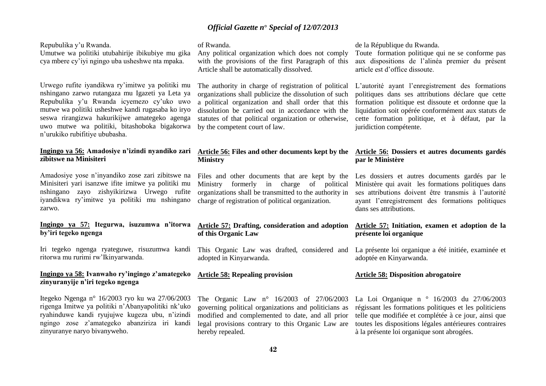Repubulika y'u Rwanda.

Umutwe wa politiki utubahirije ibikubiye mu gika cya mbere cy'iyi ngingo uba usheshwe nta mpaka.

Urwego rufite iyandikwa ry'imitwe ya politiki mu nshingano zarwo rutangaza mu Igazeti ya Leta ya Repubulika y'u Rwanda icyemezo cy'uko uwo mutwe wa politiki usheshwe kandi rugasaba ko iryo seswa rirangizwa hakurikijwe amategeko agenga uwo mutwe wa politiki, bitashoboka bigakorwa n'urukiko rubifitiye ububasha.

### **Ingingo ya 56: Amadosiye n'izindi nyandiko zari zibitswe na Minisiteri**

Amadosiye yose n'inyandiko zose zari zibitswe na Minisiteri yari isanzwe ifite imitwe ya politiki mu nshingano zayo zishyikirizwa Urwego rufite iyandikwa ry'imitwe ya politiki mu nshingano zarwo.

### **Ingingo ya 57: Itegurwa, isuzumwa n'itorwa by'iri tegeko ngenga**

Iri tegeko ngenga ryateguwe, risuzumwa kandi ritorwa mu rurimi rw'Ikinyarwanda.

### **Ingingo ya 58: Ivanwaho ry'ingingo z'amategeko zinyuranyije n'iri tegeko ngenga**

Itegeko Ngenga n° 16/2003 ryo ku wa 27/06/2003 rigenga Imitwe ya politiki n'Abanyapolitiki nk'uko ryahinduwe kandi ryujujwe kugeza ubu, n'izindi ngingo zose z'amategeko abanziriza iri kandi zinyuranye naryo bivanyweho.

### of Rwanda.

Any political organization which does not comply with the provisions of the first Paragraph of this Article shall be automatically dissolved.

The authority in charge of registration of political organizations shall publicize the dissolution of such a political organization and shall order that this dissolution be carried out in accordance with the statutes of that political organization or otherwise, by the competent court of law.

### **Article 56: Files and other documents kept by the Ministry**

Files and other documents that are kept by the Ministry formerly in charge of political organizations shall be transmitted to the authority in charge of registration of political organization.

### **Article 57: Drafting, consideration and adoption of this Organic Law**

This Organic Law was drafted, considered and adopted in Kinyarwanda.

### **Article 58: Repealing provision**

The Organic Law n° 16/2003 of 27/06/2003 governing political organizations and politicians as modified and complemented to date, and all prior legal provisions contrary to this Organic Law are hereby repealed.

de la République du Rwanda.

Toute formation politique qui ne se conforme pas aux dispositions de l'alinéa premier du présent article est d'office dissoute.

L'autorité ayant l'enregistrement des formations politiques dans ses attributions déclare que cette formation politique est dissoute et ordonne que la liquidation soit opérée conformément aux statuts de cette formation politique, et à défaut, par la juridiction compétente.

### **Article 56: Dossiers et autres documents gardés par le Ministère**

Les dossiers et autres documents gardés par le Ministère qui avait les formations politiques dans ses attributions doivent être transmis à l'autorité ayant l'enregistrement des formations politiques dans ses attributions.

### **Article 57: Initiation, examen et adoption de la présente loi organique**

La présente loi organique a été initiée, examinée et adoptée en Kinyarwanda.

### **Article 58: Disposition abrogatoire**

La Loi Organique n ° 16/2003 du 27/06/2003 régissant les formations politiques et les politiciens telle que modifiée et complétée à ce jour, ainsi que toutes les dispositions légales antérieures contraires à la présente loi organique sont abrogées.